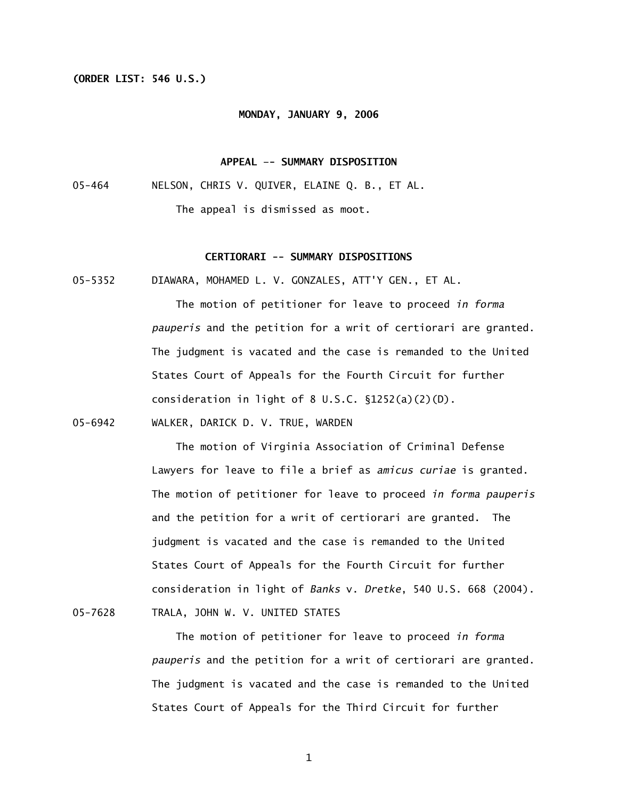# **(ORDER LIST: 546 U.S.)**

#### **MONDAY, JANUARY 9, 2006**

## **APPEAL –- SUMMARY DISPOSITION**

05-464 NELSON, CHRIS V. QUIVER, ELAINE Q. B., ET AL. The appeal is dismissed as moot.

# **CERTIORARI -- SUMMARY DISPOSITIONS**

05-5352 DIAWARA, MOHAMED L. V. GONZALES, ATT'Y GEN., ET AL.

 The motion of petitioner for leave to proceed *in forma pauperis* and the petition for a writ of certiorari are granted. The judgment is vacated and the case is remanded to the United States Court of Appeals for the Fourth Circuit for further consideration in light of 8 U.S.C.  $\S1252(a)(2)(D)$ .

05-6942 WALKER, DARICK D. V. TRUE, WARDEN

 The motion of Virginia Association of Criminal Defense Lawyers for leave to file a brief as *amicus curiae* is granted. The motion of petitioner for leave to proceed *in forma pauperis*  and the petition for a writ of certiorari are granted. The judgment is vacated and the case is remanded to the United States Court of Appeals for the Fourth Circuit for further consideration in light of *Banks* v. *Dretke*, 540 U.S. 668 (2004). 05-7628 TRALA, JOHN W. V. UNITED STATES

> The motion of petitioner for leave to proceed *in forma pauperis* and the petition for a writ of certiorari are granted. The judgment is vacated and the case is remanded to the United States Court of Appeals for the Third Circuit for further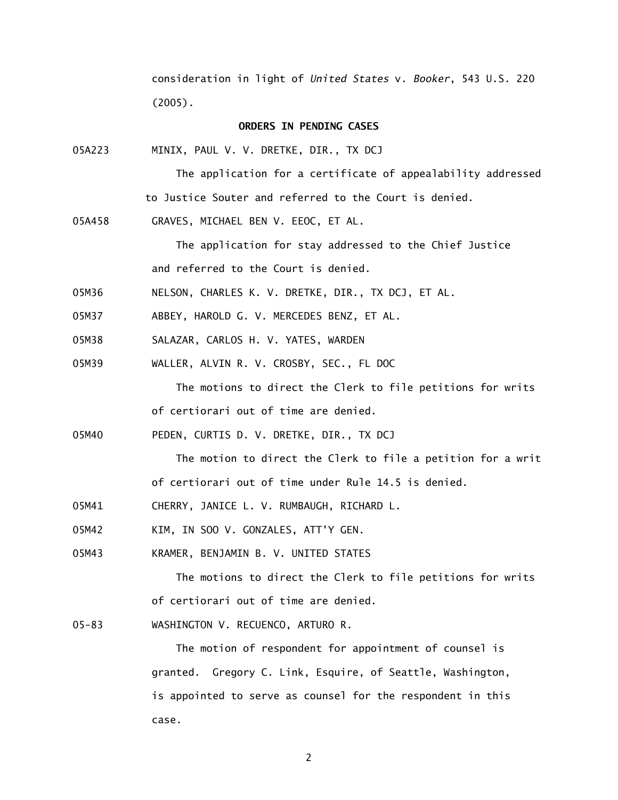consideration in light of *United States* v. *Booker*, 543 U.S. 220 (2005).

### **ORDERS IN PENDING CASES**

05A223 MINIX, PAUL V. V. DRETKE, DIR., TX DCJ

 The application for a certificate of appealability addressed to Justice Souter and referred to the Court is denied.

05A458 GRAVES, MICHAEL BEN V. EEOC, ET AL.

 The application for stay addressed to the Chief Justice and referred to the Court is denied.

- 05M36 NELSON, CHARLES K. V. DRETKE, DIR., TX DCJ, ET AL.
- 05M37 ABBEY, HAROLD G. V. MERCEDES BENZ, ET AL.
- 05M38 SALAZAR, CARLOS H. V. YATES, WARDEN
- 05M39 WALLER, ALVIN R. V. CROSBY, SEC., FL DOC

 The motions to direct the Clerk to file petitions for writs of certiorari out of time are denied.

05M40 PEDEN, CURTIS D. V. DRETKE, DIR., TX DCJ

The motion to direct the Clerk to file a petition for a writ of certiorari out of time under Rule 14.5 is denied.

- 05M41 CHERRY, JANICE L. V. RUMBAUGH, RICHARD L.
- 05M42 KIM, IN SOO V. GONZALES, ATT'Y GEN.
- 05M43 KRAMER, BENJAMIN B. V. UNITED STATES

 The motions to direct the Clerk to file petitions for writs of certiorari out of time are denied.

05-83 WASHINGTON V. RECUENCO, ARTURO R.

 The motion of respondent for appointment of counsel is granted. Gregory C. Link, Esquire, of Seattle, Washington, is appointed to serve as counsel for the respondent in this case.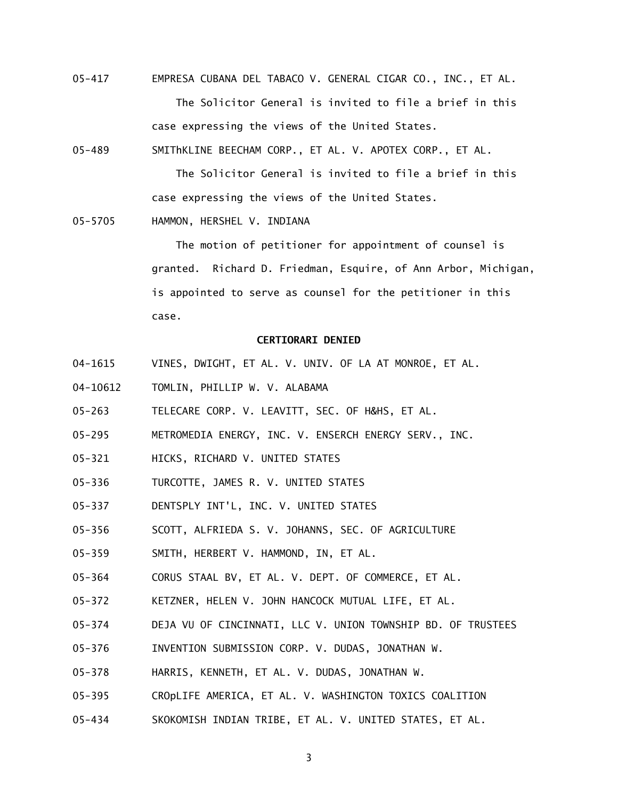05-417 EMPRESA CUBANA DEL TABACO V. GENERAL CIGAR CO., INC., ET AL. The Solicitor General is invited to file a brief in this case expressing the views of the United States.

05-489 SMIThKLINE BEECHAM CORP., ET AL. V. APOTEX CORP., ET AL.

 The Solicitor General is invited to file a brief in this case expressing the views of the United States.

05-5705 HAMMON, HERSHEL V. INDIANA

 The motion of petitioner for appointment of counsel is granted. Richard D. Friedman, Esquire, of Ann Arbor, Michigan, is appointed to serve as counsel for the petitioner in this case.

### **CERTIORARI DENIED**

- 04-1615 VINES, DWIGHT, ET AL. V. UNIV. OF LA AT MONROE, ET AL.
- 04-10612 TOMLIN, PHILLIP W. V. ALABAMA
- 05-263 TELECARE CORP. V. LEAVITT, SEC. OF H&HS, ET AL.
- 05-295 METROMEDIA ENERGY, INC. V. ENSERCH ENERGY SERV., INC.
- 05-321 HICKS, RICHARD V. UNITED STATES
- 05-336 TURCOTTE, JAMES R. V. UNITED STATES
- 05-337 DENTSPLY INT'L, INC. V. UNITED STATES
- 05-356 SCOTT, ALFRIEDA S. V. JOHANNS, SEC. OF AGRICULTURE
- 05-359 SMITH, HERBERT V. HAMMOND, IN, ET AL.
- 05-364 CORUS STAAL BV, ET AL. V. DEPT. OF COMMERCE, ET AL.
- 05-372 KETZNER, HELEN V. JOHN HANCOCK MUTUAL LIFE, ET AL.
- 05-374 DEJA VU OF CINCINNATI, LLC V. UNION TOWNSHIP BD. OF TRUSTEES
- 05-376 INVENTION SUBMISSION CORP. V. DUDAS, JONATHAN W.
- 05-378 HARRIS, KENNETH, ET AL. V. DUDAS, JONATHAN W.
- 05-395 CROpLIFE AMERICA, ET AL. V. WASHINGTON TOXICS COALITION
- 05-434 SKOKOMISH INDIAN TRIBE, ET AL. V. UNITED STATES, ET AL.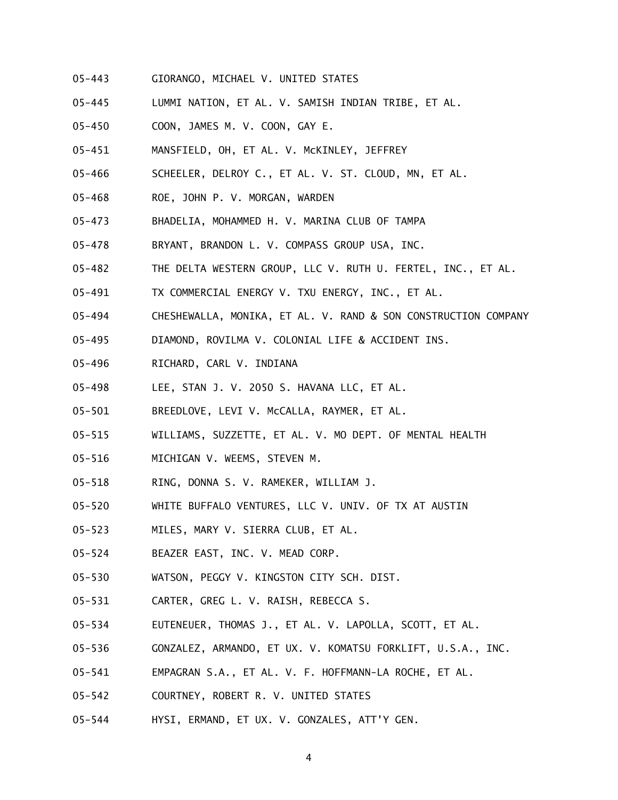- 05-443 GIORANGO, MICHAEL V. UNITED STATES
- 05-445 LUMMI NATION, ET AL. V. SAMISH INDIAN TRIBE, ET AL.
- 05-450 COON, JAMES M. V. COON, GAY E.
- 05-451 MANSFIELD, OH, ET AL. V. McKINLEY, JEFFREY
- 05-466 SCHEELER, DELROY C., ET AL. V. ST. CLOUD, MN, ET AL.
- 05-468 ROE, JOHN P. V. MORGAN, WARDEN
- 05-473 BHADELIA, MOHAMMED H. V. MARINA CLUB OF TAMPA
- 05-478 BRYANT, BRANDON L. V. COMPASS GROUP USA, INC.
- 05-482 THE DELTA WESTERN GROUP, LLC V. RUTH U. FERTEL, INC., ET AL.
- 05-491 TX COMMERCIAL ENERGY V. TXU ENERGY, INC., ET AL.
- 05-494 CHESHEWALLA, MONIKA, ET AL. V. RAND & SON CONSTRUCTION COMPANY
- 05-495 DIAMOND, ROVILMA V. COLONIAL LIFE & ACCIDENT INS.
- 05-496 RICHARD, CARL V. INDIANA
- 05-498 LEE, STAN J. V. 2050 S. HAVANA LLC, ET AL.
- 05-501 BREEDLOVE, LEVI V. McCALLA, RAYMER, ET AL.
- 05-515 WILLIAMS, SUZZETTE, ET AL. V. MO DEPT. OF MENTAL HEALTH
- 05-516 MICHIGAN V. WEEMS, STEVEN M.
- 05-518 RING, DONNA S. V. RAMEKER, WILLIAM J.
- 05-520 WHITE BUFFALO VENTURES, LLC V. UNIV. OF TX AT AUSTIN
- 05-523 MILES, MARY V. SIERRA CLUB, ET AL.
- 05-524 BEAZER EAST, INC. V. MEAD CORP.
- 05-530 WATSON, PEGGY V. KINGSTON CITY SCH. DIST.
- 05-531 CARTER, GREG L. V. RAISH, REBECCA S.
- 05-534 EUTENEUER, THOMAS J., ET AL. V. LAPOLLA, SCOTT, ET AL.
- 05-536 GONZALEZ, ARMANDO, ET UX. V. KOMATSU FORKLIFT, U.S.A., INC.
- 05-541 EMPAGRAN S.A., ET AL. V. F. HOFFMANN-LA ROCHE, ET AL.
- 05-542 COURTNEY, ROBERT R. V. UNITED STATES
- 05-544 HYSI, ERMAND, ET UX. V. GONZALES, ATT'Y GEN.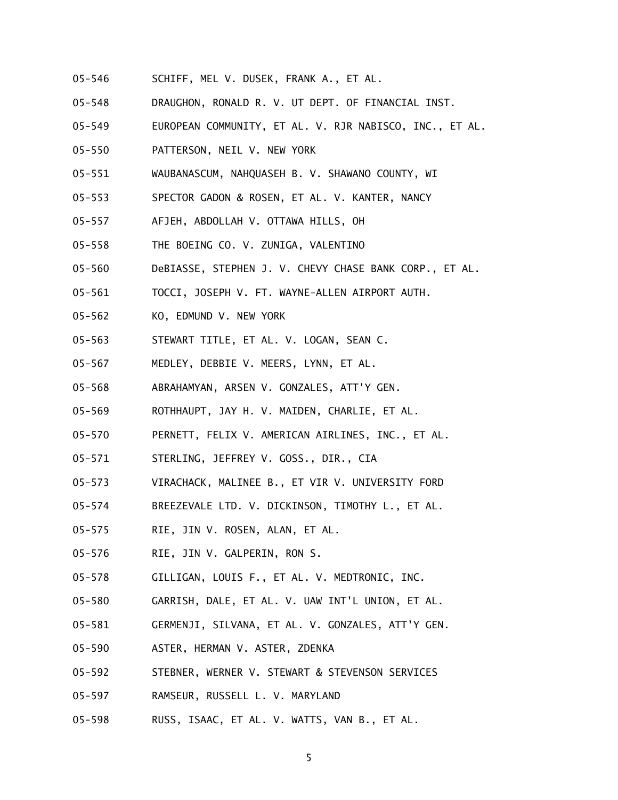- 05-546 SCHIFF, MEL V. DUSEK, FRANK A., ET AL.
- 05-548 DRAUGHON, RONALD R. V. UT DEPT. OF FINANCIAL INST.
- 05-549 EUROPEAN COMMUNITY, ET AL. V. RJR NABISCO, INC., ET AL.
- 05-550 PATTERSON, NEIL V. NEW YORK
- 05-551 WAUBANASCUM, NAHQUASEH B. V. SHAWANO COUNTY, WI
- 05-553 SPECTOR GADON & ROSEN, ET AL. V. KANTER, NANCY
- 05-557 AFJEH, ABDOLLAH V. OTTAWA HILLS, OH
- 05-558 THE BOEING CO. V. ZUNIGA, VALENTINO
- 05-560 DeBIASSE, STEPHEN J. V. CHEVY CHASE BANK CORP., ET AL.
- 05-561 TOCCI, JOSEPH V. FT. WAYNE-ALLEN AIRPORT AUTH.
- 05-562 KO, EDMUND V. NEW YORK
- 05-563 STEWART TITLE, ET AL. V. LOGAN, SEAN C.
- 05-567 MEDLEY, DEBBIE V. MEERS, LYNN, ET AL.
- 05-568 ABRAHAMYAN, ARSEN V. GONZALES, ATT'Y GEN.
- 05-569 ROTHHAUPT, JAY H. V. MAIDEN, CHARLIE, ET AL.
- 05-570 PERNETT, FELIX V. AMERICAN AIRLINES, INC., ET AL.
- 05-571 STERLING, JEFFREY V. GOSS., DIR., CIA
- 05-573 VIRACHACK, MALINEE B., ET VIR V. UNIVERSITY FORD
- 05-574 BREEZEVALE LTD. V. DICKINSON, TIMOTHY L., ET AL.
- 05-575 RIE, JIN V. ROSEN, ALAN, ET AL.
- 05-576 RIE, JIN V. GALPERIN, RON S.
- 05-578 GILLIGAN, LOUIS F., ET AL. V. MEDTRONIC, INC.
- 05-580 GARRISH, DALE, ET AL. V. UAW INT'L UNION, ET AL.
- 05-581 GERMENJI, SILVANA, ET AL. V. GONZALES, ATT'Y GEN.
- 05-590 ASTER, HERMAN V. ASTER, ZDENKA
- 05-592 STEBNER, WERNER V. STEWART & STEVENSON SERVICES
- 05-597 RAMSEUR, RUSSELL L. V. MARYLAND
- 05-598 RUSS, ISAAC, ET AL. V. WATTS, VAN B., ET AL.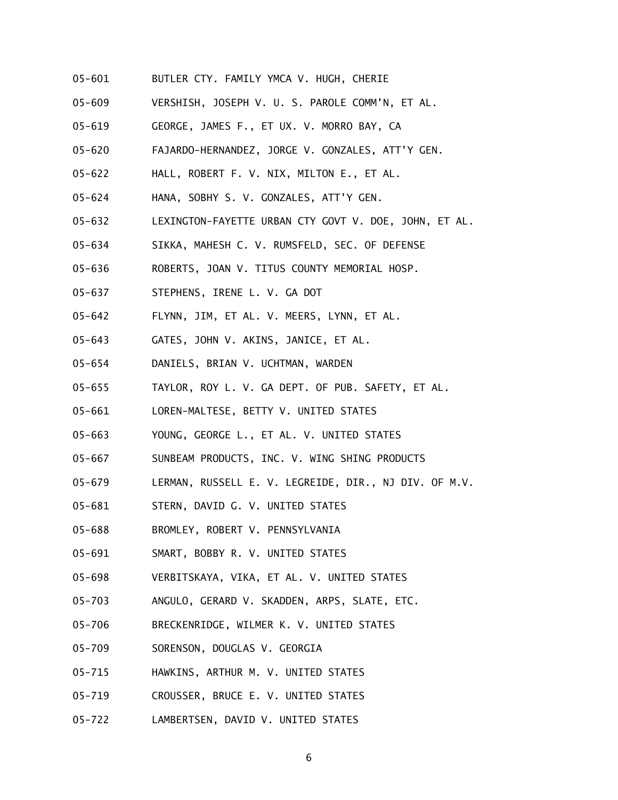- 05-601 BUTLER CTY. FAMILY YMCA V. HUGH, CHERIE
- 05-609 VERSHISH, JOSEPH V. U. S. PAROLE COMM'N, ET AL.
- 05-619 GEORGE, JAMES F., ET UX. V. MORRO BAY, CA
- 05-620 FAJARDO-HERNANDEZ, JORGE V. GONZALES, ATT'Y GEN.
- 05-622 HALL, ROBERT F. V. NIX, MILTON E., ET AL.
- 05-624 HANA, SOBHY S. V. GONZALES, ATT'Y GEN.
- 05-632 LEXINGTON-FAYETTE URBAN CTY GOVT V. DOE, JOHN, ET AL.
- 05-634 SIKKA, MAHESH C. V. RUMSFELD, SEC. OF DEFENSE
- 05-636 ROBERTS, JOAN V. TITUS COUNTY MEMORIAL HOSP.
- 05-637 STEPHENS, IRENE L. V. GA DOT
- 05-642 FLYNN, JIM, ET AL. V. MEERS, LYNN, ET AL.
- 05-643 GATES, JOHN V. AKINS, JANICE, ET AL.
- 05-654 DANIELS, BRIAN V. UCHTMAN, WARDEN
- 05-655 TAYLOR, ROY L. V. GA DEPT. OF PUB. SAFETY, ET AL.
- 05-661 LOREN-MALTESE, BETTY V. UNITED STATES
- 05-663 YOUNG, GEORGE L., ET AL. V. UNITED STATES
- 05-667 SUNBEAM PRODUCTS, INC. V. WING SHING PRODUCTS
- 05-679 LERMAN, RUSSELL E. V. LEGREIDE, DIR., NJ DIV. OF M.V.
- 05-681 STERN, DAVID G. V. UNITED STATES
- 05-688 BROMLEY, ROBERT V. PENNSYLVANIA
- 05-691 SMART, BOBBY R. V. UNITED STATES
- 05-698 VERBITSKAYA, VIKA, ET AL. V. UNITED STATES
- 05-703 ANGULO, GERARD V. SKADDEN, ARPS, SLATE, ETC.
- 05-706 BRECKENRIDGE, WILMER K. V. UNITED STATES
- 05-709 SORENSON, DOUGLAS V. GEORGIA
- 05-715 HAWKINS, ARTHUR M. V. UNITED STATES
- 05-719 CROUSSER, BRUCE E. V. UNITED STATES
- 05-722 LAMBERTSEN, DAVID V. UNITED STATES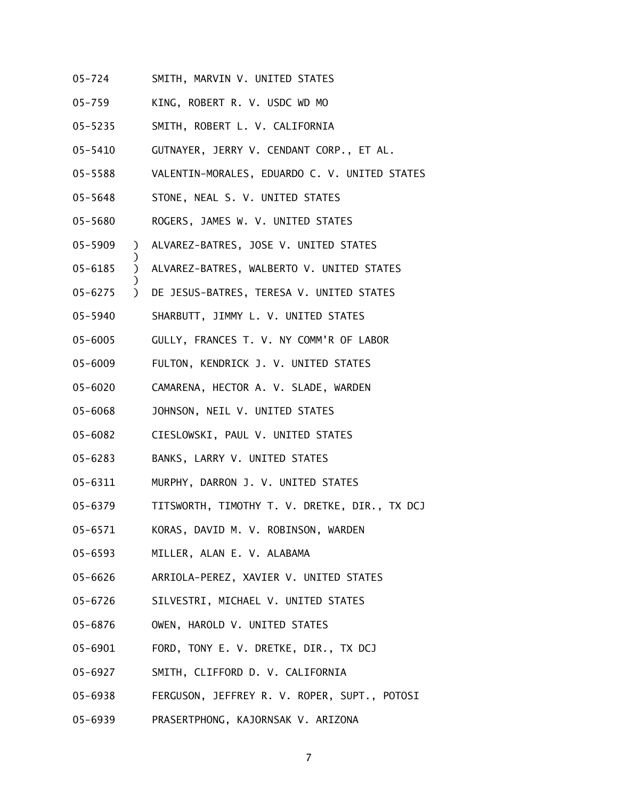- 05-724 SMITH, MARVIN V. UNITED STATES
- 05-759 KING, ROBERT R. V. USDC WD MO
- 05-5235 SMITH, ROBERT L. V. CALIFORNIA
- 05-5410 GUTNAYER, JERRY V. CENDANT CORP., ET AL.
- 05-5588 VALENTIN-MORALES, EDUARDO C. V. UNITED STATES
- 05-5648 STONE, NEAL S. V. UNITED STATES

)

)

- 05-5680 ROGERS, JAMES W. V. UNITED STATES
- 05-5909 ) ALVAREZ-BATRES, JOSE V. UNITED STATES
- 05-6185 ) ALVAREZ-BATRES, WALBERTO V. UNITED STATES
- 05-6275 ) DE JESUS-BATRES, TERESA V. UNITED STATES
- 05-5940 SHARBUTT, JIMMY L. V. UNITED STATES
- 05-6005 GULLY, FRANCES T. V. NY COMM'R OF LABOR
- 05-6009 FULTON, KENDRICK J. V. UNITED STATES
- 05-6020 CAMARENA, HECTOR A. V. SLADE, WARDEN
- 05-6068 JOHNSON, NEIL V. UNITED STATES
- 05-6082 CIESLOWSKI, PAUL V. UNITED STATES
- 05-6283 BANKS, LARRY V. UNITED STATES
- 05-6311 MURPHY, DARRON J. V. UNITED STATES
- 05-6379 TITSWORTH, TIMOTHY T. V. DRETKE, DIR., TX DCJ
- 05-6571 KORAS, DAVID M. V. ROBINSON, WARDEN
- 05-6593 MILLER, ALAN E. V. ALABAMA
- 05-6626 ARRIOLA-PEREZ, XAVIER V. UNITED STATES
- 05-6726 SILVESTRI, MICHAEL V. UNITED STATES
- 05-6876 OWEN, HAROLD V. UNITED STATES
- 05-6901 FORD, TONY E. V. DRETKE, DIR., TX DCJ
- 05-6927 SMITH, CLIFFORD D. V. CALIFORNIA
- 05-6938 FERGUSON, JEFFREY R. V. ROPER, SUPT., POTOSI
- 05-6939 PRASERTPHONG, KAJORNSAK V. ARIZONA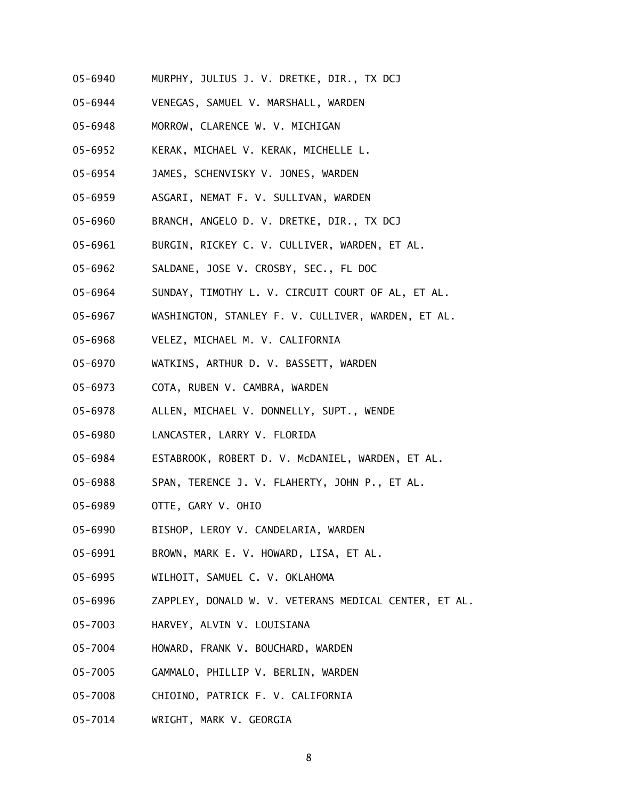- 05-6940 MURPHY, JULIUS J. V. DRETKE, DIR., TX DCJ
- 05-6944 VENEGAS, SAMUEL V. MARSHALL, WARDEN
- 05-6948 MORROW, CLARENCE W. V. MICHIGAN
- 05-6952 KERAK, MICHAEL V. KERAK, MICHELLE L.
- 05-6954 JAMES, SCHENVISKY V. JONES, WARDEN
- 05-6959 ASGARI, NEMAT F. V. SULLIVAN, WARDEN
- 05-6960 BRANCH, ANGELO D. V. DRETKE, DIR., TX DCJ
- 05-6961 BURGIN, RICKEY C. V. CULLIVER, WARDEN, ET AL.
- 05-6962 SALDANE, JOSE V. CROSBY, SEC., FL DOC
- 05-6964 SUNDAY, TIMOTHY L. V. CIRCUIT COURT OF AL, ET AL.
- 05-6967 WASHINGTON, STANLEY F. V. CULLIVER, WARDEN, ET AL.
- 05-6968 VELEZ, MICHAEL M. V. CALIFORNIA
- 05-6970 WATKINS, ARTHUR D. V. BASSETT, WARDEN
- 05-6973 COTA, RUBEN V. CAMBRA, WARDEN
- 05-6978 ALLEN, MICHAEL V. DONNELLY, SUPT., WENDE
- 05-6980 LANCASTER, LARRY V. FLORIDA
- 05-6984 ESTABROOK, ROBERT D. V. McDANIEL, WARDEN, ET AL.
- 05-6988 SPAN, TERENCE J. V. FLAHERTY, JOHN P., ET AL.
- 05-6989 OTTE, GARY V. OHIO
- 05-6990 BISHOP, LEROY V. CANDELARIA, WARDEN
- 05-6991 BROWN, MARK E. V. HOWARD, LISA, ET AL.
- 05-6995 WILHOIT, SAMUEL C. V. OKLAHOMA
- 05-6996 ZAPPLEY, DONALD W. V. VETERANS MEDICAL CENTER, ET AL.
- 05-7003 HARVEY, ALVIN V. LOUISIANA
- 05-7004 HOWARD, FRANK V. BOUCHARD, WARDEN
- 05-7005 GAMMALO, PHILLIP V. BERLIN, WARDEN
- 05-7008 CHIOINO, PATRICK F. V. CALIFORNIA
- 05-7014 WRIGHT, MARK V. GEORGIA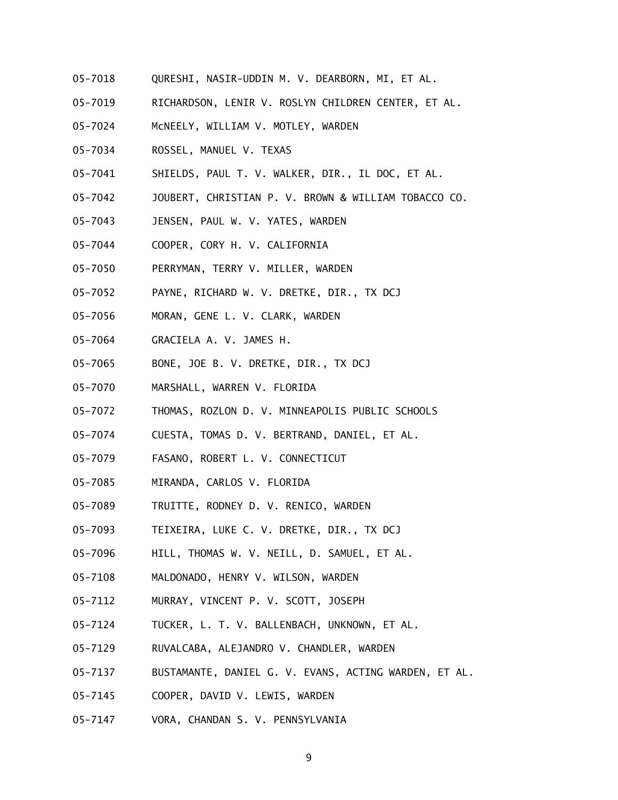- 05-7018 QURESHI, NASIR-UDDIN M. V. DEARBORN, MI, ET AL.
- 05-7019 RICHARDSON, LENIR V. ROSLYN CHILDREN CENTER, ET AL.
- 05-7024 McNEELY, WILLIAM V. MOTLEY, WARDEN
- 05-7034 ROSSEL, MANUEL V. TEXAS
- 05-7041 SHIELDS, PAUL T. V. WALKER, DIR., IL DOC, ET AL.
- 05-7042 JOUBERT, CHRISTIAN P. V. BROWN & WILLIAM TOBACCO CO.
- 05-7043 JENSEN, PAUL W. V. YATES, WARDEN
- 05-7044 COOPER, CORY H. V. CALIFORNIA
- 05-7050 PERRYMAN, TERRY V. MILLER, WARDEN
- 05-7052 PAYNE, RICHARD W. V. DRETKE, DIR., TX DCJ
- 05-7056 MORAN, GENE L. V. CLARK, WARDEN
- 05-7064 GRACIELA A. V. JAMES H.
- 05-7065 BONE, JOE B. V. DRETKE, DIR., TX DCJ
- 05-7070 MARSHALL, WARREN V. FLORIDA
- 05-7072 THOMAS, ROZLON D. V. MINNEAPOLIS PUBLIC SCHOOLS
- 05-7074 CUESTA, TOMAS D. V. BERTRAND, DANIEL, ET AL.
- 05-7079 FASANO, ROBERT L. V. CONNECTICUT
- 05-7085 MIRANDA, CARLOS V. FLORIDA
- 05-7089 TRUITTE, RODNEY D. V. RENICO, WARDEN
- 05-7093 TEIXEIRA, LUKE C. V. DRETKE, DIR., TX DCJ
- 05-7096 HILL, THOMAS W. V. NEILL, D. SAMUEL, ET AL.
- 05-7108 MALDONADO, HENRY V. WILSON, WARDEN
- 05-7112 MURRAY, VINCENT P. V. SCOTT, JOSEPH
- 05-7124 TUCKER, L. T. V. BALLENBACH, UNKNOWN, ET AL.
- 05-7129 RUVALCABA, ALEJANDRO V. CHANDLER, WARDEN
- 05-7137 BUSTAMANTE, DANIEL G. V. EVANS, ACTING WARDEN, ET AL.
- 05-7145 COOPER, DAVID V. LEWIS, WARDEN
- 05-7147 VORA, CHANDAN S. V. PENNSYLVANIA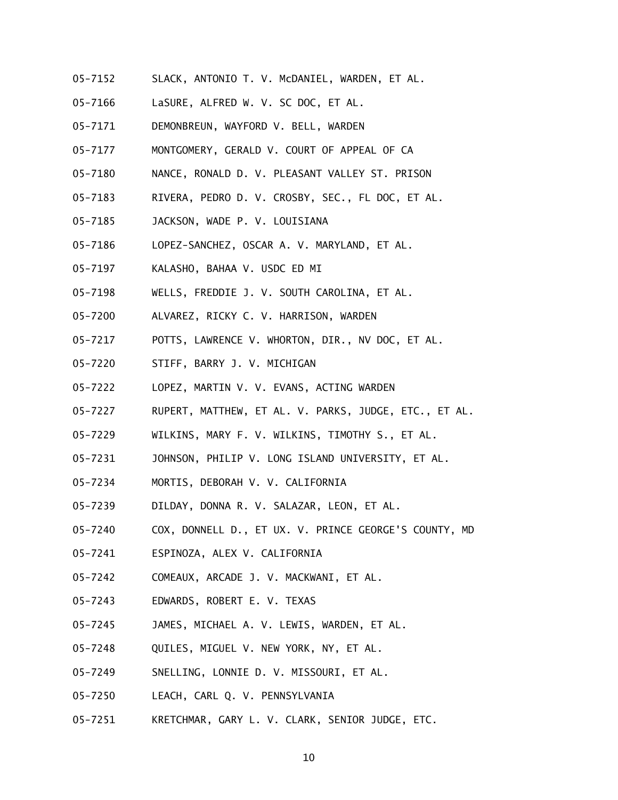- 05-7152 SLACK, ANTONIO T. V. McDANIEL, WARDEN, ET AL.
- 05-7166 LaSURE, ALFRED W. V. SC DOC, ET AL.
- 05-7171 DEMONBREUN, WAYFORD V. BELL, WARDEN
- 05-7177 MONTGOMERY, GERALD V. COURT OF APPEAL OF CA
- 05-7180 NANCE, RONALD D. V. PLEASANT VALLEY ST. PRISON
- 05-7183 RIVERA, PEDRO D. V. CROSBY, SEC., FL DOC, ET AL.
- 05-7185 JACKSON, WADE P. V. LOUISIANA
- 05-7186 LOPEZ-SANCHEZ, OSCAR A. V. MARYLAND, ET AL.
- 05-7197 KALASHO, BAHAA V. USDC ED MI
- 05-7198 WELLS, FREDDIE J. V. SOUTH CAROLINA, ET AL.
- 05-7200 ALVAREZ, RICKY C. V. HARRISON, WARDEN
- 05-7217 POTTS, LAWRENCE V. WHORTON, DIR., NV DOC, ET AL.
- 05-7220 STIFF, BARRY J. V. MICHIGAN
- 05-7222 LOPEZ, MARTIN V. V. EVANS, ACTING WARDEN
- 05-7227 RUPERT, MATTHEW, ET AL. V. PARKS, JUDGE, ETC., ET AL.
- 05-7229 WILKINS, MARY F. V. WILKINS, TIMOTHY S., ET AL.
- 05-7231 JOHNSON, PHILIP V. LONG ISLAND UNIVERSITY, ET AL.
- 05-7234 MORTIS, DEBORAH V. V. CALIFORNIA
- 05-7239 DILDAY, DONNA R. V. SALAZAR, LEON, ET AL.
- 05-7240 COX, DONNELL D., ET UX. V. PRINCE GEORGE'S COUNTY, MD
- 05-7241 ESPINOZA, ALEX V. CALIFORNIA
- 05-7242 COMEAUX, ARCADE J. V. MACKWANI, ET AL.
- 05-7243 EDWARDS, ROBERT E. V. TEXAS
- 05-7245 JAMES, MICHAEL A. V. LEWIS, WARDEN, ET AL.
- 05-7248 QUILES, MIGUEL V. NEW YORK, NY, ET AL.
- 05-7249 SNELLING, LONNIE D. V. MISSOURI, ET AL.
- 05-7250 LEACH, CARL Q. V. PENNSYLVANIA
- 05-7251 KRETCHMAR, GARY L. V. CLARK, SENIOR JUDGE, ETC.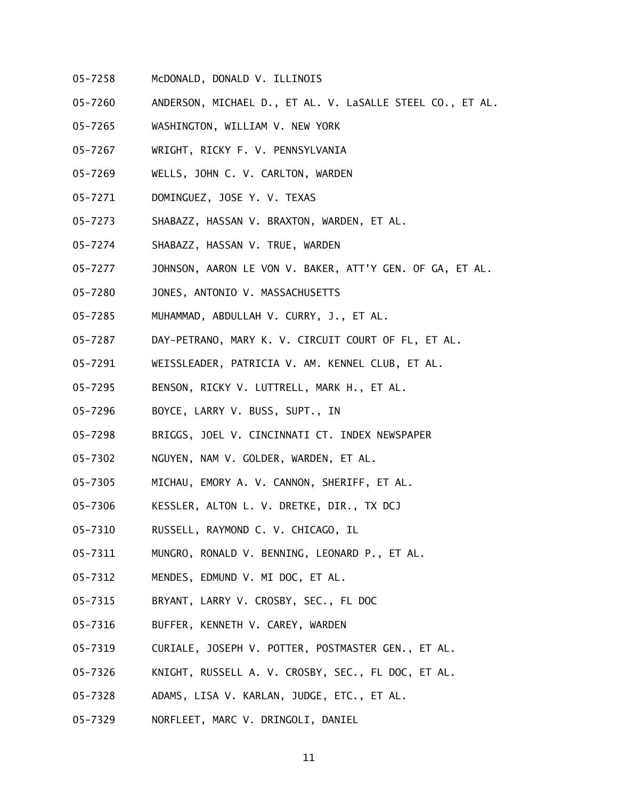- 05-7258 McDONALD, DONALD V. ILLINOIS
- 05-7260 ANDERSON, MICHAEL D., ET AL. V. LaSALLE STEEL CO., ET AL.
- 05-7265 WASHINGTON, WILLIAM V. NEW YORK
- 05-7267 WRIGHT, RICKY F. V. PENNSYLVANIA
- 05-7269 WELLS, JOHN C. V. CARLTON, WARDEN
- 05-7271 DOMINGUEZ, JOSE Y. V. TEXAS
- 05-7273 SHABAZZ, HASSAN V. BRAXTON, WARDEN, ET AL.
- 05-7274 SHABAZZ, HASSAN V. TRUE, WARDEN
- 05-7277 JOHNSON, AARON LE VON V. BAKER, ATT'Y GEN. OF GA, ET AL.
- 05-7280 JONES, ANTONIO V. MASSACHUSETTS
- 05-7285 MUHAMMAD, ABDULLAH V. CURRY, J., ET AL.
- 05-7287 DAY-PETRANO, MARY K. V. CIRCUIT COURT OF FL, ET AL.
- 05-7291 WEISSLEADER, PATRICIA V. AM. KENNEL CLUB, ET AL.
- 05-7295 BENSON, RICKY V. LUTTRELL, MARK H., ET AL.
- 05-7296 BOYCE, LARRY V. BUSS, SUPT., IN
- 05-7298 BRIGGS, JOEL V. CINCINNATI CT. INDEX NEWSPAPER
- 05-7302 NGUYEN, NAM V. GOLDER, WARDEN, ET AL.
- 05-7305 MICHAU, EMORY A. V. CANNON, SHERIFF, ET AL.
- 05-7306 KESSLER, ALTON L. V. DRETKE, DIR., TX DCJ
- 05-7310 RUSSELL, RAYMOND C. V. CHICAGO, IL
- 05-7311 MUNGRO, RONALD V. BENNING, LEONARD P., ET AL.
- 05-7312 MENDES, EDMUND V. MI DOC, ET AL.
- 05-7315 BRYANT, LARRY V. CROSBY, SEC., FL DOC
- 05-7316 BUFFER, KENNETH V. CAREY, WARDEN
- 05-7319 CURIALE, JOSEPH V. POTTER, POSTMASTER GEN., ET AL.
- 05-7326 KNIGHT, RUSSELL A. V. CROSBY, SEC., FL DOC, ET AL.
- 05-7328 ADAMS, LISA V. KARLAN, JUDGE, ETC., ET AL.
- 05-7329 NORFLEET, MARC V. DRINGOLI, DANIEL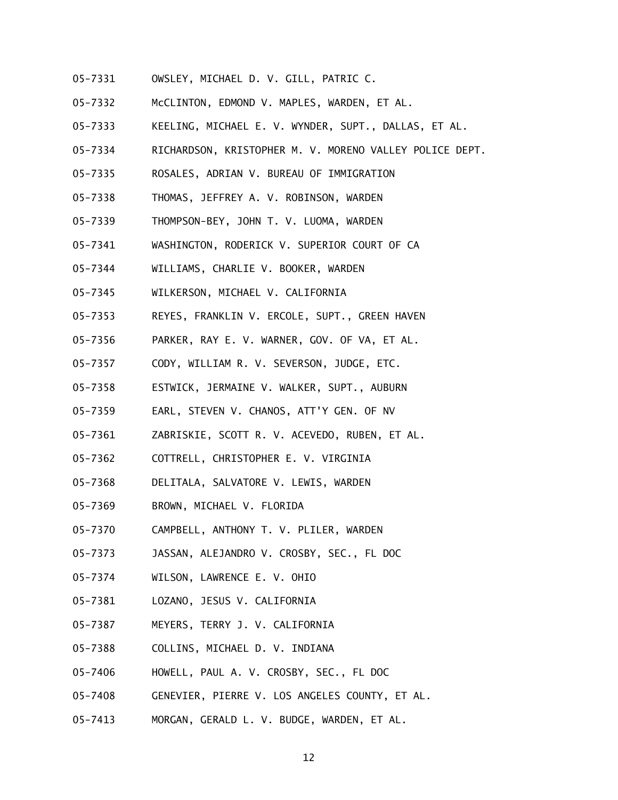- 05-7331 OWSLEY, MICHAEL D. V. GILL, PATRIC C.
- 05-7332 McCLINTON, EDMOND V. MAPLES, WARDEN, ET AL.
- 05-7333 KEELING, MICHAEL E. V. WYNDER, SUPT., DALLAS, ET AL.
- 05-7334 RICHARDSON, KRISTOPHER M. V. MORENO VALLEY POLICE DEPT.
- 05-7335 ROSALES, ADRIAN V. BUREAU OF IMMIGRATION
- 05-7338 THOMAS, JEFFREY A. V. ROBINSON, WARDEN
- 05-7339 THOMPSON-BEY, JOHN T. V. LUOMA, WARDEN
- 05-7341 WASHINGTON, RODERICK V. SUPERIOR COURT OF CA
- 05-7344 WILLIAMS, CHARLIE V. BOOKER, WARDEN
- 05-7345 WILKERSON, MICHAEL V. CALIFORNIA
- 05-7353 REYES, FRANKLIN V. ERCOLE, SUPT., GREEN HAVEN
- 05-7356 PARKER, RAY E. V. WARNER, GOV. OF VA, ET AL.
- 05-7357 CODY, WILLIAM R. V. SEVERSON, JUDGE, ETC.
- 05-7358 ESTWICK, JERMAINE V. WALKER, SUPT., AUBURN
- 05-7359 EARL, STEVEN V. CHANOS, ATT'Y GEN. OF NV
- 05-7361 ZABRISKIE, SCOTT R. V. ACEVEDO, RUBEN, ET AL.
- 05-7362 COTTRELL, CHRISTOPHER E. V. VIRGINIA
- 05-7368 DELITALA, SALVATORE V. LEWIS, WARDEN
- 05-7369 BROWN, MICHAEL V. FLORIDA
- 05-7370 CAMPBELL, ANTHONY T. V. PLILER, WARDEN
- 05-7373 JASSAN, ALEJANDRO V. CROSBY, SEC., FL DOC
- 05-7374 WILSON, LAWRENCE E. V. OHIO
- 05-7381 LOZANO, JESUS V. CALIFORNIA
- 05-7387 MEYERS, TERRY J. V. CALIFORNIA
- 05-7388 COLLINS, MICHAEL D. V. INDIANA
- 05-7406 HOWELL, PAUL A. V. CROSBY, SEC., FL DOC
- 05-7408 GENEVIER, PIERRE V. LOS ANGELES COUNTY, ET AL.
- 05-7413 MORGAN, GERALD L. V. BUDGE, WARDEN, ET AL.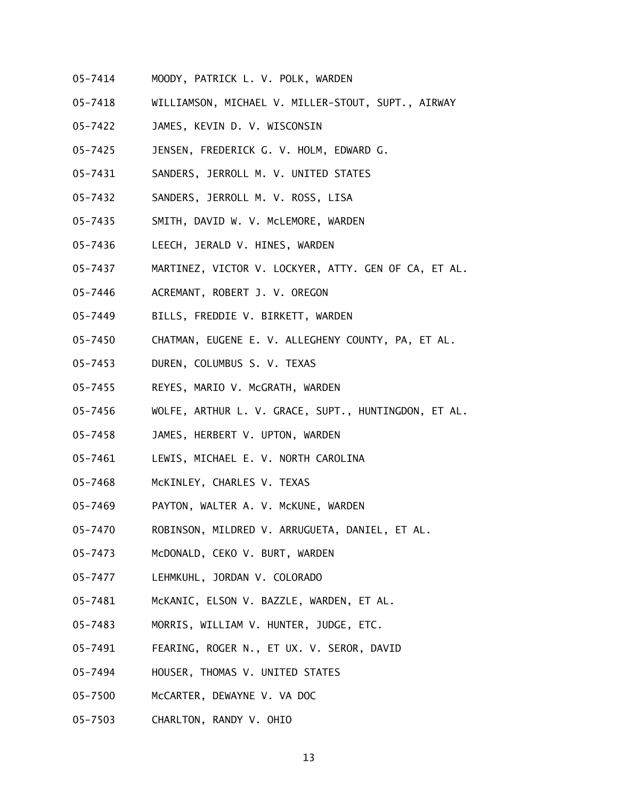- 05-7414 MOODY, PATRICK L. V. POLK, WARDEN
- 05-7418 WILLIAMSON, MICHAEL V. MILLER-STOUT, SUPT., AIRWAY
- 05-7422 JAMES, KEVIN D. V. WISCONSIN
- 05-7425 JENSEN, FREDERICK G. V. HOLM, EDWARD G.
- 05-7431 SANDERS, JERROLL M. V. UNITED STATES
- 05-7432 SANDERS, JERROLL M. V. ROSS, LISA
- 05-7435 SMITH, DAVID W. V. McLEMORE, WARDEN
- 05-7436 LEECH, JERALD V. HINES, WARDEN
- 05-7437 MARTINEZ, VICTOR V. LOCKYER, ATTY. GEN OF CA, ET AL.
- 05-7446 ACREMANT, ROBERT J. V. OREGON
- 05-7449 BILLS, FREDDIE V. BIRKETT, WARDEN
- 05-7450 CHATMAN, EUGENE E. V. ALLEGHENY COUNTY, PA, ET AL.
- 05-7453 DUREN, COLUMBUS S. V. TEXAS
- 05-7455 REYES, MARIO V. McGRATH, WARDEN
- 05-7456 WOLFE, ARTHUR L. V. GRACE, SUPT., HUNTINGDON, ET AL.
- 05-7458 JAMES, HERBERT V. UPTON, WARDEN
- 05-7461 LEWIS, MICHAEL E. V. NORTH CAROLINA
- 05-7468 McKINLEY, CHARLES V. TEXAS
- 05-7469 PAYTON, WALTER A. V. McKUNE, WARDEN
- 05-7470 ROBINSON, MILDRED V. ARRUGUETA, DANIEL, ET AL.
- 05-7473 McDONALD, CEKO V. BURT, WARDEN
- 05-7477 LEHMKUHL, JORDAN V. COLORADO
- 05-7481 McKANIC, ELSON V. BAZZLE, WARDEN, ET AL.
- 05-7483 MORRIS, WILLIAM V. HUNTER, JUDGE, ETC.
- 05-7491 FEARING, ROGER N., ET UX. V. SEROR, DAVID
- 05-7494 HOUSER, THOMAS V. UNITED STATES
- 05-7500 McCARTER, DEWAYNE V. VA DOC
- 05-7503 CHARLTON, RANDY V. OHIO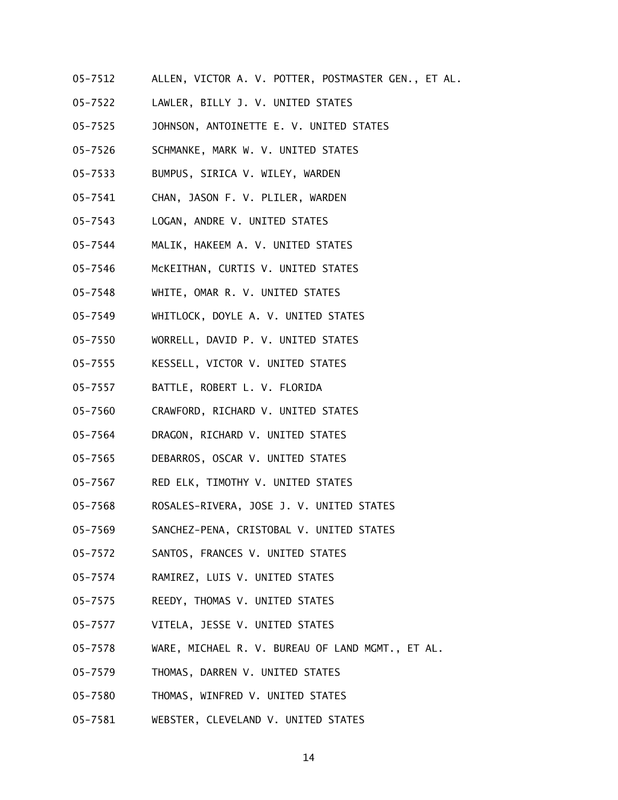- 05-7512 ALLEN, VICTOR A. V. POTTER, POSTMASTER GEN., ET AL.
- 05-7522 LAWLER, BILLY J. V. UNITED STATES
- 05-7525 JOHNSON, ANTOINETTE E. V. UNITED STATES
- 05-7526 SCHMANKE, MARK W. V. UNITED STATES
- 05-7533 BUMPUS, SIRICA V. WILEY, WARDEN
- 05-7541 CHAN, JASON F. V. PLILER, WARDEN
- 05-7543 LOGAN, ANDRE V. UNITED STATES
- 05-7544 MALIK, HAKEEM A. V. UNITED STATES
- 05-7546 McKEITHAN, CURTIS V. UNITED STATES
- 05-7548 WHITE, OMAR R. V. UNITED STATES
- 05-7549 WHITLOCK, DOYLE A. V. UNITED STATES
- 05-7550 WORRELL, DAVID P. V. UNITED STATES
- 05-7555 KESSELL, VICTOR V. UNITED STATES
- 05-7557 BATTLE, ROBERT L. V. FLORIDA
- 05-7560 CRAWFORD, RICHARD V. UNITED STATES
- 05-7564 DRAGON, RICHARD V. UNITED STATES
- 05-7565 DEBARROS, OSCAR V. UNITED STATES
- 05-7567 RED ELK, TIMOTHY V. UNITED STATES
- 05-7568 ROSALES-RIVERA, JOSE J. V. UNITED STATES
- 05-7569 SANCHEZ-PENA, CRISTOBAL V. UNITED STATES
- 05-7572 SANTOS, FRANCES V. UNITED STATES
- 05-7574 RAMIREZ, LUIS V. UNITED STATES
- 05-7575 REEDY, THOMAS V. UNITED STATES
- 05-7577 VITELA, JESSE V. UNITED STATES
- 05-7578 WARE, MICHAEL R. V. BUREAU OF LAND MGMT., ET AL.
- 05-7579 THOMAS, DARREN V. UNITED STATES
- 05-7580 THOMAS, WINFRED V. UNITED STATES
- 05-7581 WEBSTER, CLEVELAND V. UNITED STATES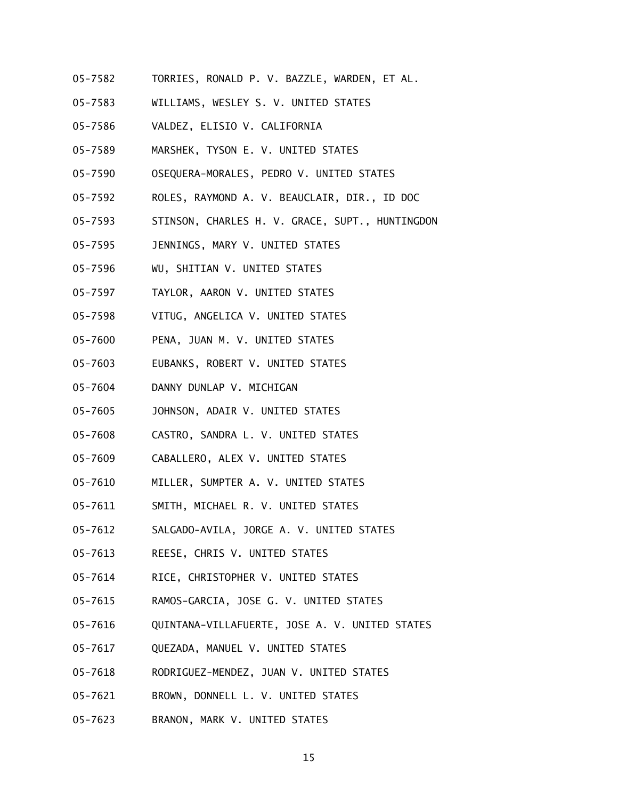- 05-7582 TORRIES, RONALD P. V. BAZZLE, WARDEN, ET AL.
- 05-7583 WILLIAMS, WESLEY S. V. UNITED STATES
- 05-7586 VALDEZ, ELISIO V. CALIFORNIA
- 05-7589 MARSHEK, TYSON E. V. UNITED STATES
- 05-7590 OSEQUERA-MORALES, PEDRO V. UNITED STATES
- 05-7592 ROLES, RAYMOND A. V. BEAUCLAIR, DIR., ID DOC
- 05-7593 STINSON, CHARLES H. V. GRACE, SUPT., HUNTINGDON
- 05-7595 JENNINGS, MARY V. UNITED STATES
- 05-7596 WU, SHITIAN V. UNITED STATES
- 05-7597 TAYLOR, AARON V. UNITED STATES
- 05-7598 VITUG, ANGELICA V. UNITED STATES
- 05-7600 PENA, JUAN M. V. UNITED STATES
- 05-7603 EUBANKS, ROBERT V. UNITED STATES
- 05-7604 DANNY DUNLAP V. MICHIGAN
- 05-7605 JOHNSON, ADAIR V. UNITED STATES
- 05-7608 CASTRO, SANDRA L. V. UNITED STATES
- 05-7609 CABALLERO, ALEX V. UNITED STATES
- 05-7610 MILLER, SUMPTER A. V. UNITED STATES
- 05-7611 SMITH, MICHAEL R. V. UNITED STATES
- 05-7612 SALGADO-AVILA, JORGE A. V. UNITED STATES
- 05-7613 REESE, CHRIS V. UNITED STATES
- 05-7614 RICE, CHRISTOPHER V. UNITED STATES
- 05-7615 RAMOS-GARCIA, JOSE G. V. UNITED STATES
- 05-7616 QUINTANA-VILLAFUERTE, JOSE A. V. UNITED STATES
- 05-7617 QUEZADA, MANUEL V. UNITED STATES
- 05-7618 RODRIGUEZ-MENDEZ, JUAN V. UNITED STATES
- 05-7621 BROWN, DONNELL L. V. UNITED STATES
- 05-7623 BRANON, MARK V. UNITED STATES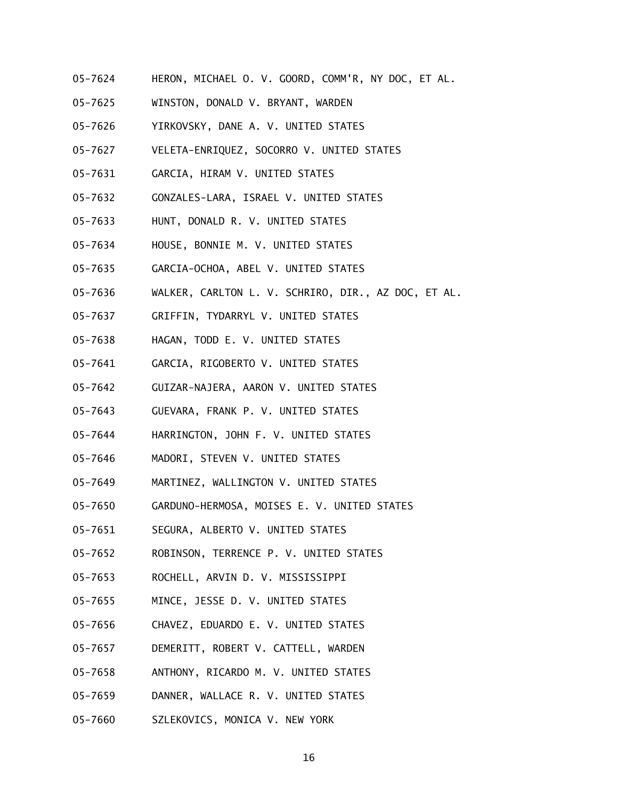- 05-7624 HERON, MICHAEL O. V. GOORD, COMM'R, NY DOC, ET AL.
- 05-7625 WINSTON, DONALD V. BRYANT, WARDEN
- 05-7626 YIRKOVSKY, DANE A. V. UNITED STATES
- 05-7627 VELETA-ENRIQUEZ, SOCORRO V. UNITED STATES
- 05-7631 GARCIA, HIRAM V. UNITED STATES
- 05-7632 GONZALES-LARA, ISRAEL V. UNITED STATES
- 05-7633 HUNT, DONALD R. V. UNITED STATES
- 05-7634 HOUSE, BONNIE M. V. UNITED STATES
- 05-7635 GARCIA-OCHOA, ABEL V. UNITED STATES
- 05-7636 WALKER, CARLTON L. V. SCHRIRO, DIR., AZ DOC, ET AL.
- 05-7637 GRIFFIN, TYDARRYL V. UNITED STATES
- 05-7638 HAGAN, TODD E. V. UNITED STATES
- 05-7641 GARCIA, RIGOBERTO V. UNITED STATES
- 05-7642 GUIZAR-NAJERA, AARON V. UNITED STATES
- 05-7643 GUEVARA, FRANK P. V. UNITED STATES
- 05-7644 HARRINGTON, JOHN F. V. UNITED STATES
- 05-7646 MADORI, STEVEN V. UNITED STATES
- 05-7649 MARTINEZ, WALLINGTON V. UNITED STATES
- 05-7650 GARDUNO-HERMOSA, MOISES E. V. UNITED STATES
- 05-7651 SEGURA, ALBERTO V. UNITED STATES
- 05-7652 ROBINSON, TERRENCE P. V. UNITED STATES
- 05-7653 ROCHELL, ARVIN D. V. MISSISSIPPI
- 05-7655 MINCE, JESSE D. V. UNITED STATES
- 05-7656 CHAVEZ, EDUARDO E. V. UNITED STATES
- 05-7657 DEMERITT, ROBERT V. CATTELL, WARDEN
- 05-7658 ANTHONY, RICARDO M. V. UNITED STATES
- 05-7659 DANNER, WALLACE R. V. UNITED STATES
- 05-7660 SZLEKOVICS, MONICA V. NEW YORK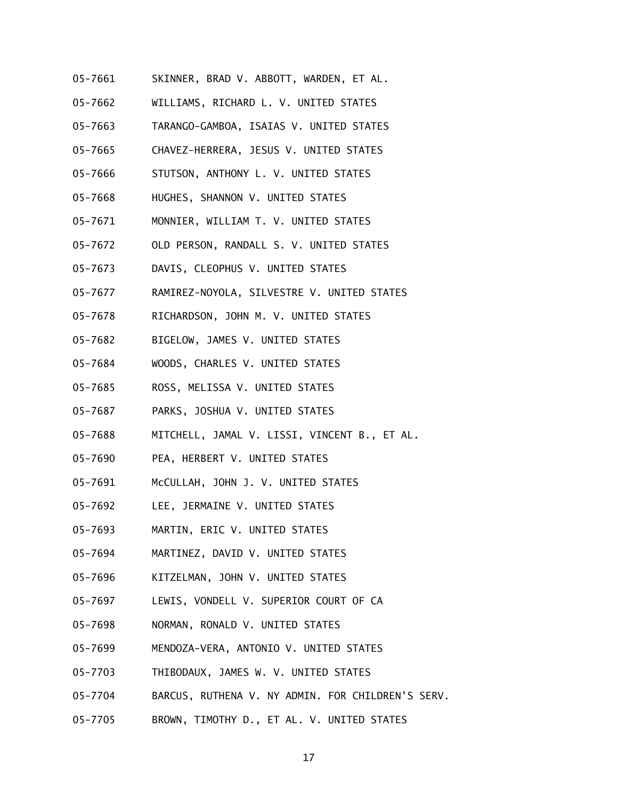- 05-7661 SKINNER, BRAD V. ABBOTT, WARDEN, ET AL.
- 05-7662 WILLIAMS, RICHARD L. V. UNITED STATES
- 05-7663 TARANGO-GAMBOA, ISAIAS V. UNITED STATES
- 05-7665 CHAVEZ-HERRERA, JESUS V. UNITED STATES
- 05-7666 STUTSON, ANTHONY L. V. UNITED STATES
- 05-7668 HUGHES, SHANNON V. UNITED STATES
- 05-7671 MONNIER, WILLIAM T. V. UNITED STATES
- 05-7672 OLD PERSON, RANDALL S. V. UNITED STATES
- 05-7673 DAVIS, CLEOPHUS V. UNITED STATES
- 05-7677 RAMIREZ-NOYOLA, SILVESTRE V. UNITED STATES
- 05-7678 RICHARDSON, JOHN M. V. UNITED STATES
- 05-7682 BIGELOW, JAMES V. UNITED STATES
- 05-7684 WOODS, CHARLES V. UNITED STATES
- 05-7685 ROSS, MELISSA V. UNITED STATES
- 05-7687 PARKS, JOSHUA V. UNITED STATES
- 05-7688 MITCHELL, JAMAL V. LISSI, VINCENT B., ET AL.
- 05-7690 PEA, HERBERT V. UNITED STATES
- 05-7691 McCULLAH, JOHN J. V. UNITED STATES
- 05-7692 LEE, JERMAINE V. UNITED STATES
- 05-7693 MARTIN, ERIC V. UNITED STATES
- 05-7694 MARTINEZ, DAVID V. UNITED STATES
- 05-7696 KITZELMAN, JOHN V. UNITED STATES
- 05-7697 LEWIS, VONDELL V. SUPERIOR COURT OF CA
- 05-7698 NORMAN, RONALD V. UNITED STATES
- 05-7699 MENDOZA-VERA, ANTONIO V. UNITED STATES
- 05-7703 THIBODAUX, JAMES W. V. UNITED STATES
- 05-7704 BARCUS, RUTHENA V. NY ADMIN. FOR CHILDREN'S SERV.
- 05-7705 BROWN, TIMOTHY D., ET AL. V. UNITED STATES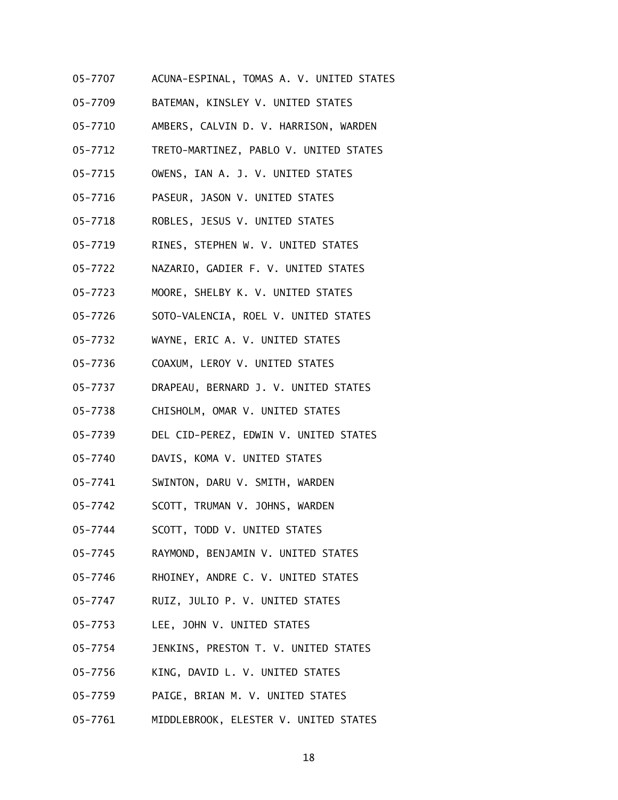- 05-7707 ACUNA-ESPINAL, TOMAS A. V. UNITED STATES
- 05-7709 BATEMAN, KINSLEY V. UNITED STATES
- 05-7710 AMBERS, CALVIN D. V. HARRISON, WARDEN
- 05-7712 TRETO-MARTINEZ, PABLO V. UNITED STATES
- 05-7715 OWENS, IAN A. J. V. UNITED STATES
- 05-7716 PASEUR, JASON V. UNITED STATES
- 05-7718 ROBLES, JESUS V. UNITED STATES
- 05-7719 RINES, STEPHEN W. V. UNITED STATES
- 05-7722 NAZARIO, GADIER F. V. UNITED STATES
- 05-7723 MOORE, SHELBY K. V. UNITED STATES
- 05-7726 SOTO-VALENCIA, ROEL V. UNITED STATES
- 05-7732 WAYNE, ERIC A. V. UNITED STATES
- 05-7736 COAXUM, LEROY V. UNITED STATES
- 05-7737 DRAPEAU, BERNARD J. V. UNITED STATES
- 05-7738 CHISHOLM, OMAR V. UNITED STATES
- 05-7739 DEL CID-PEREZ, EDWIN V. UNITED STATES
- 05-7740 DAVIS, KOMA V. UNITED STATES
- 05-7741 SWINTON, DARU V. SMITH, WARDEN
- 05-7742 SCOTT, TRUMAN V. JOHNS, WARDEN
- 05-7744 SCOTT, TODD V. UNITED STATES
- 05-7745 RAYMOND, BENJAMIN V. UNITED STATES
- 05-7746 RHOINEY, ANDRE C. V. UNITED STATES
- 05-7747 RUIZ, JULIO P. V. UNITED STATES
- 05-7753 LEE, JOHN V. UNITED STATES
- 05-7754 JENKINS, PRESTON T. V. UNITED STATES
- 05-7756 KING, DAVID L. V. UNITED STATES
- 05-7759 PAIGE, BRIAN M. V. UNITED STATES
- 05-7761 MIDDLEBROOK, ELESTER V. UNITED STATES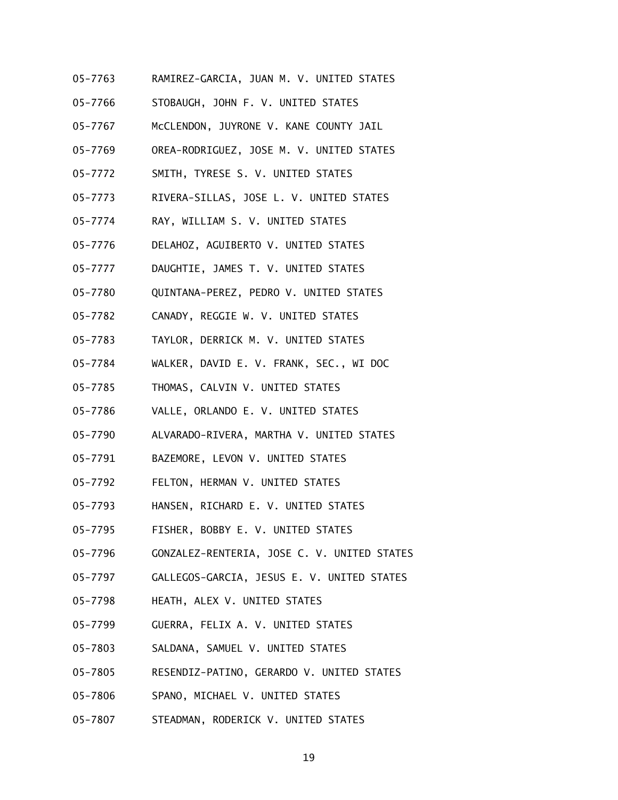- 05-7763 RAMIREZ-GARCIA, JUAN M. V. UNITED STATES
- 05-7766 STOBAUGH, JOHN F. V. UNITED STATES
- 05-7767 McCLENDON, JUYRONE V. KANE COUNTY JAIL
- 05-7769 OREA-RODRIGUEZ, JOSE M. V. UNITED STATES
- 05-7772 SMITH, TYRESE S. V. UNITED STATES
- 05-7773 RIVERA-SILLAS, JOSE L. V. UNITED STATES
- 05-7774 RAY, WILLIAM S. V. UNITED STATES
- 05-7776 DELAHOZ, AGUIBERTO V. UNITED STATES
- 05-7777 DAUGHTIE, JAMES T. V. UNITED STATES
- 05-7780 QUINTANA-PEREZ, PEDRO V. UNITED STATES
- 05-7782 CANADY, REGGIE W. V. UNITED STATES
- 05-7783 TAYLOR, DERRICK M. V. UNITED STATES
- 05-7784 WALKER, DAVID E. V. FRANK, SEC., WI DOC
- 05-7785 THOMAS, CALVIN V. UNITED STATES
- 05-7786 VALLE, ORLANDO E. V. UNITED STATES
- 05-7790 ALVARADO-RIVERA, MARTHA V. UNITED STATES
- 05-7791 BAZEMORE, LEVON V. UNITED STATES
- 05-7792 FELTON, HERMAN V. UNITED STATES
- 05-7793 HANSEN, RICHARD E. V. UNITED STATES
- 05-7795 FISHER, BOBBY E. V. UNITED STATES
- 05-7796 GONZALEZ-RENTERIA, JOSE C. V. UNITED STATES
- 05-7797 GALLEGOS-GARCIA, JESUS E. V. UNITED STATES
- 05-7798 HEATH, ALEX V. UNITED STATES
- 05-7799 GUERRA, FELIX A. V. UNITED STATES
- 05-7803 SALDANA, SAMUEL V. UNITED STATES
- 05-7805 RESENDIZ-PATINO, GERARDO V. UNITED STATES
- 05-7806 SPANO, MICHAEL V. UNITED STATES
- 05-7807 STEADMAN, RODERICK V. UNITED STATES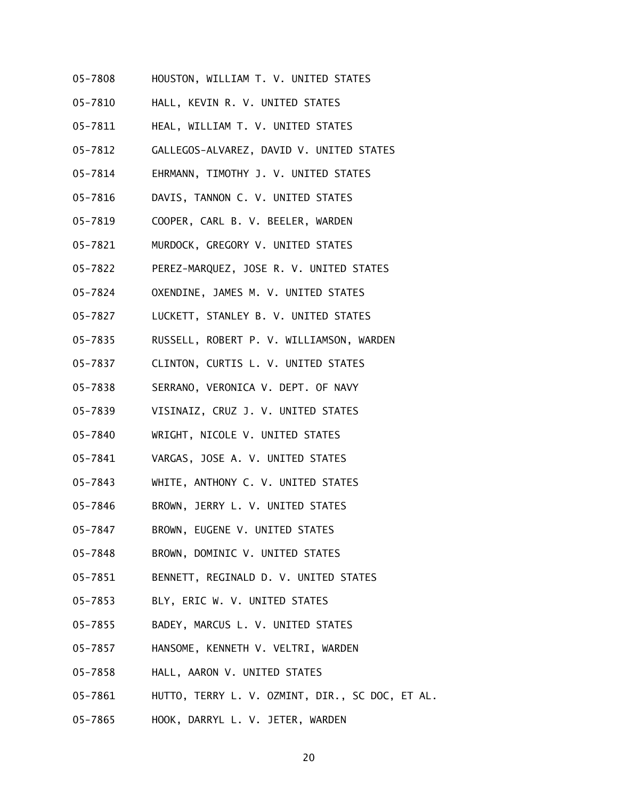- 05-7808 HOUSTON, WILLIAM T. V. UNITED STATES
- 05-7810 HALL, KEVIN R. V. UNITED STATES
- 05-7811 HEAL, WILLIAM T. V. UNITED STATES
- 05-7812 GALLEGOS-ALVAREZ, DAVID V. UNITED STATES
- 05-7814 EHRMANN, TIMOTHY J. V. UNITED STATES
- 05-7816 DAVIS, TANNON C. V. UNITED STATES
- 05-7819 COOPER, CARL B. V. BEELER, WARDEN
- 05-7821 MURDOCK, GREGORY V. UNITED STATES
- 05-7822 PEREZ-MARQUEZ, JOSE R. V. UNITED STATES
- 05-7824 OXENDINE, JAMES M. V. UNITED STATES
- 05-7827 LUCKETT, STANLEY B. V. UNITED STATES
- 05-7835 RUSSELL, ROBERT P. V. WILLIAMSON, WARDEN
- 05-7837 CLINTON, CURTIS L. V. UNITED STATES
- 05-7838 SERRANO, VERONICA V. DEPT. OF NAVY
- 05-7839 VISINAIZ, CRUZ J. V. UNITED STATES
- 05-7840 WRIGHT, NICOLE V. UNITED STATES
- 05-7841 VARGAS, JOSE A. V. UNITED STATES
- 05-7843 WHITE, ANTHONY C. V. UNITED STATES
- 05-7846 BROWN, JERRY L. V. UNITED STATES
- 05-7847 BROWN, EUGENE V. UNITED STATES
- 05-7848 BROWN, DOMINIC V. UNITED STATES
- 05-7851 BENNETT, REGINALD D. V. UNITED STATES
- 05-7853 BLY, ERIC W. V. UNITED STATES
- 05-7855 BADEY, MARCUS L. V. UNITED STATES
- 05-7857 HANSOME, KENNETH V. VELTRI, WARDEN
- 05-7858 HALL, AARON V. UNITED STATES
- 05-7861 HUTTO, TERRY L. V. OZMINT, DIR., SC DOC, ET AL.
- 05-7865 HOOK, DARRYL L. V. JETER, WARDEN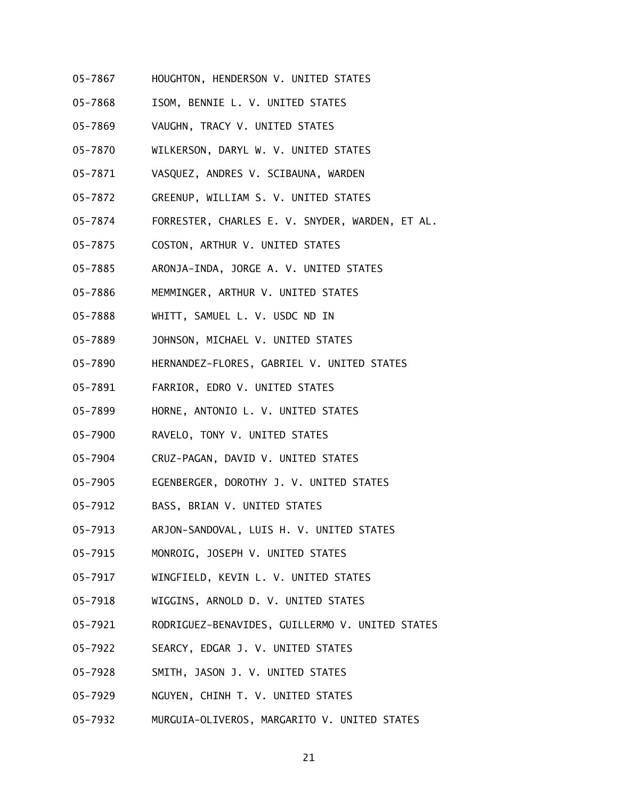- 05-7867 HOUGHTON, HENDERSON V. UNITED STATES
- 05-7868 ISOM, BENNIE L. V. UNITED STATES
- 05-7869 VAUGHN, TRACY V. UNITED STATES
- 05-7870 WILKERSON, DARYL W. V. UNITED STATES
- 05-7871 VASQUEZ, ANDRES V. SCIBAUNA, WARDEN
- 05-7872 GREENUP, WILLIAM S. V. UNITED STATES
- 05-7874 FORRESTER, CHARLES E. V. SNYDER, WARDEN, ET AL.
- 05-7875 COSTON, ARTHUR V. UNITED STATES
- 05-7885 ARONJA-INDA, JORGE A. V. UNITED STATES
- 05-7886 MEMMINGER, ARTHUR V. UNITED STATES
- 05-7888 WHITT, SAMUEL L. V. USDC ND IN
- 05-7889 JOHNSON, MICHAEL V. UNITED STATES
- 05-7890 HERNANDEZ-FLORES, GABRIEL V. UNITED STATES
- 05-7891 FARRIOR, EDRO V. UNITED STATES
- 05-7899 HORNE, ANTONIO L. V. UNITED STATES
- 05-7900 RAVELO, TONY V. UNITED STATES
- 05-7904 CRUZ-PAGAN, DAVID V. UNITED STATES
- 05-7905 EGENBERGER, DOROTHY J. V. UNITED STATES
- 05-7912 BASS, BRIAN V. UNITED STATES
- 05-7913 ARJON-SANDOVAL, LUIS H. V. UNITED STATES
- 05-7915 MONROIG, JOSEPH V. UNITED STATES
- 05-7917 WINGFIELD, KEVIN L. V. UNITED STATES
- 05-7918 WIGGINS, ARNOLD D. V. UNITED STATES
- 05-7921 RODRIGUEZ-BENAVIDES, GUILLERMO V. UNITED STATES
- 05-7922 SEARCY, EDGAR J. V. UNITED STATES
- 05-7928 SMITH, JASON J. V. UNITED STATES
- 05-7929 NGUYEN, CHINH T. V. UNITED STATES
- 05-7932 MURGUIA-OLIVEROS, MARGARITO V. UNITED STATES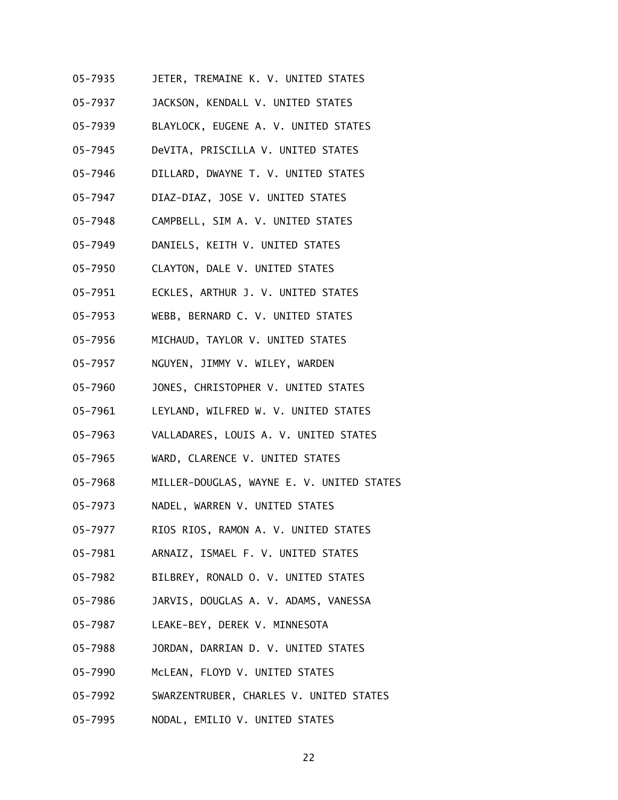- 05-7935 JETER, TREMAINE K. V. UNITED STATES
- 05-7937 JACKSON, KENDALL V. UNITED STATES
- 05-7939 BLAYLOCK, EUGENE A. V. UNITED STATES
- 05-7945 DeVITA, PRISCILLA V. UNITED STATES
- 05-7946 DILLARD, DWAYNE T. V. UNITED STATES
- 05-7947 DIAZ-DIAZ, JOSE V. UNITED STATES
- 05-7948 CAMPBELL, SIM A. V. UNITED STATES
- 05-7949 DANIELS, KEITH V. UNITED STATES
- 05-7950 CLAYTON, DALE V. UNITED STATES
- 05-7951 ECKLES, ARTHUR J. V. UNITED STATES
- 05-7953 WEBB, BERNARD C. V. UNITED STATES
- 05-7956 MICHAUD, TAYLOR V. UNITED STATES
- 05-7957 NGUYEN, JIMMY V. WILEY, WARDEN
- 05-7960 JONES, CHRISTOPHER V. UNITED STATES
- 05-7961 LEYLAND, WILFRED W. V. UNITED STATES
- 05-7963 VALLADARES, LOUIS A. V. UNITED STATES
- 05-7965 WARD, CLARENCE V. UNITED STATES
- 05-7968 MILLER-DOUGLAS, WAYNE E. V. UNITED STATES
- 05-7973 NADEL, WARREN V. UNITED STATES
- 05-7977 RIOS RIOS, RAMON A. V. UNITED STATES
- 05-7981 ARNAIZ, ISMAEL F. V. UNITED STATES
- 05-7982 BILBREY, RONALD O. V. UNITED STATES
- 05-7986 JARVIS, DOUGLAS A. V. ADAMS, VANESSA
- 05-7987 LEAKE-BEY, DEREK V. MINNESOTA
- 05-7988 JORDAN, DARRIAN D. V. UNITED STATES
- 05-7990 McLEAN, FLOYD V. UNITED STATES
- 05-7992 SWARZENTRUBER, CHARLES V. UNITED STATES
- 05-7995 NODAL, EMILIO V. UNITED STATES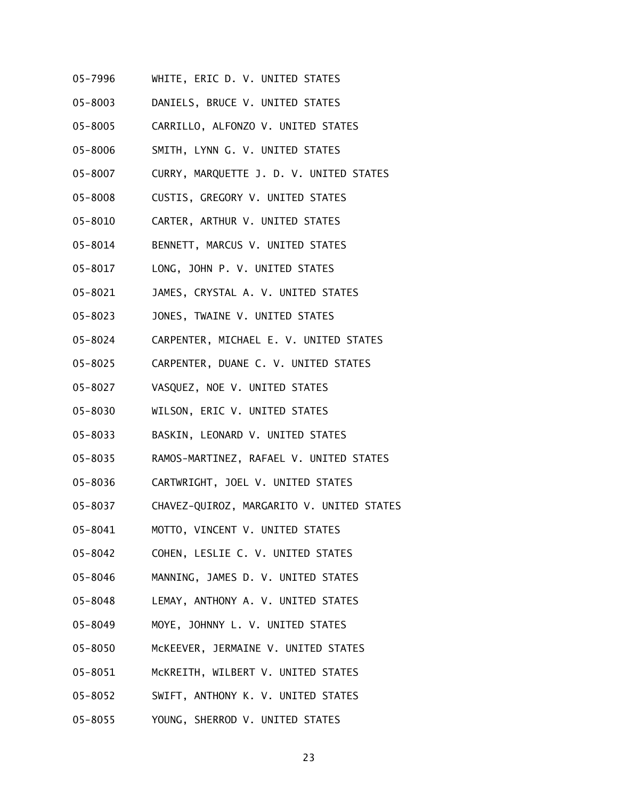- 05-7996 WHITE, ERIC D. V. UNITED STATES
- 05-8003 DANIELS, BRUCE V. UNITED STATES
- 05-8005 CARRILLO, ALFONZO V. UNITED STATES
- 05-8006 SMITH, LYNN G. V. UNITED STATES
- 05-8007 CURRY, MARQUETTE J. D. V. UNITED STATES
- 05-8008 CUSTIS, GREGORY V. UNITED STATES
- 05-8010 CARTER, ARTHUR V. UNITED STATES
- 05-8014 BENNETT, MARCUS V. UNITED STATES
- 05-8017 LONG, JOHN P. V. UNITED STATES
- 05-8021 JAMES, CRYSTAL A. V. UNITED STATES
- 05-8023 JONES, TWAINE V. UNITED STATES
- 05-8024 CARPENTER, MICHAEL E. V. UNITED STATES
- 05-8025 CARPENTER, DUANE C. V. UNITED STATES
- 05-8027 VASQUEZ, NOE V. UNITED STATES
- 05-8030 WILSON, ERIC V. UNITED STATES
- 05-8033 BASKIN, LEONARD V. UNITED STATES
- 05-8035 RAMOS-MARTINEZ, RAFAEL V. UNITED STATES
- 05-8036 CARTWRIGHT, JOEL V. UNITED STATES
- 05-8037 CHAVEZ-QUIROZ, MARGARITO V. UNITED STATES
- 05-8041 MOTTO, VINCENT V. UNITED STATES
- 05-8042 COHEN, LESLIE C. V. UNITED STATES
- 05-8046 MANNING, JAMES D. V. UNITED STATES
- 05-8048 LEMAY, ANTHONY A. V. UNITED STATES
- 05-8049 MOYE, JOHNNY L. V. UNITED STATES
- 05-8050 McKEEVER, JERMAINE V. UNITED STATES
- 05-8051 McKREITH, WILBERT V. UNITED STATES
- 05-8052 SWIFT, ANTHONY K. V. UNITED STATES
- 05-8055 YOUNG, SHERROD V. UNITED STATES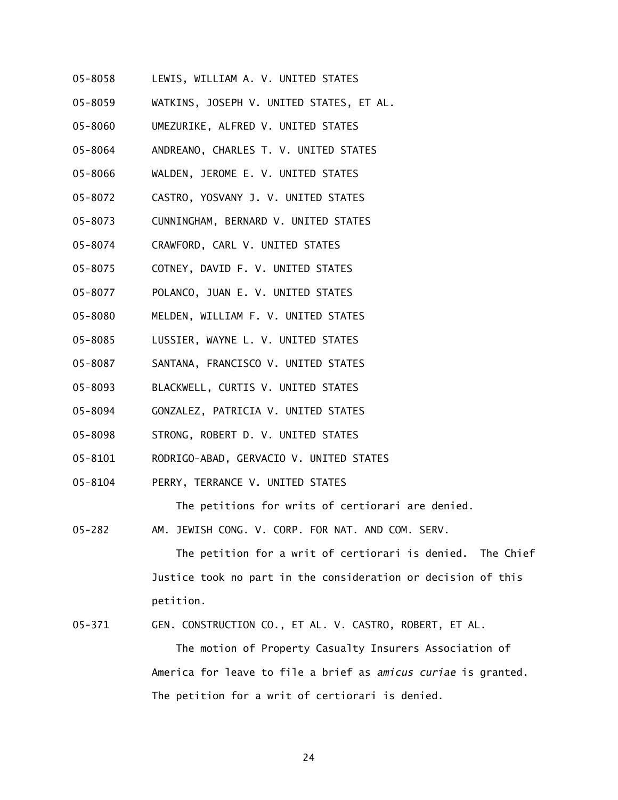- 05-8058 LEWIS, WILLIAM A. V. UNITED STATES
- 05-8059 WATKINS, JOSEPH V. UNITED STATES, ET AL.
- 05-8060 UMEZURIKE, ALFRED V. UNITED STATES
- 05-8064 ANDREANO, CHARLES T. V. UNITED STATES
- 05-8066 WALDEN, JEROME E. V. UNITED STATES
- 05-8072 CASTRO, YOSVANY J. V. UNITED STATES
- 05-8073 CUNNINGHAM, BERNARD V. UNITED STATES
- 05-8074 CRAWFORD, CARL V. UNITED STATES
- 05-8075 COTNEY, DAVID F. V. UNITED STATES
- 05-8077 POLANCO, JUAN E. V. UNITED STATES
- 05-8080 MELDEN, WILLIAM F. V. UNITED STATES
- 05-8085 LUSSIER, WAYNE L. V. UNITED STATES
- 05-8087 SANTANA, FRANCISCO V. UNITED STATES
- 05-8093 BLACKWELL, CURTIS V. UNITED STATES
- 05-8094 GONZALEZ, PATRICIA V. UNITED STATES
- 05-8098 STRONG, ROBERT D. V. UNITED STATES
- 05-8101 RODRIGO-ABAD, GERVACIO V. UNITED STATES
- 05-8104 PERRY, TERRANCE V. UNITED STATES

The petitions for writs of certiorari are denied.

05-282 AM. JEWISH CONG. V. CORP. FOR NAT. AND COM. SERV.

 The petition for a writ of certiorari is denied. The Chief Justice took no part in the consideration or decision of this petition.

05-371 GEN. CONSTRUCTION CO., ET AL. V. CASTRO, ROBERT, ET AL.

 The motion of Property Casualty Insurers Association of America for leave to file a brief as *amicus curiae* is granted. The petition for a writ of certiorari is denied.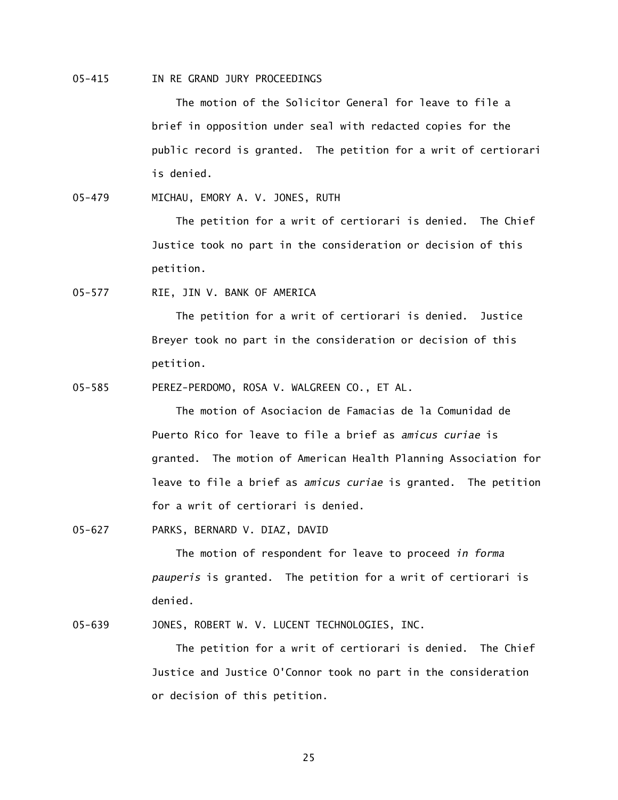05-415 IN RE GRAND JURY PROCEEDINGS

The motion of the Solicitor General for leave to file a brief in opposition under seal with redacted copies for the public record is granted. The petition for a writ of certiorari is denied.

05-479 MICHAU, EMORY A. V. JONES, RUTH

 The petition for a writ of certiorari is denied. The Chief Justice took no part in the consideration or decision of this petition.

05-577 RIE, JIN V. BANK OF AMERICA

 The petition for a writ of certiorari is denied. Justice Breyer took no part in the consideration or decision of this petition.

05-585 PEREZ-PERDOMO, ROSA V. WALGREEN CO., ET AL.

 The motion of Asociacion de Famacias de la Comunidad de Puerto Rico for leave to file a brief as *amicus curiae* is granted. The motion of American Health Planning Association for leave to file a brief as *amicus curiae* is granted. The petition for a writ of certiorari is denied.

05-627 PARKS, BERNARD V. DIAZ, DAVID

 The motion of respondent for leave to proceed *in forma pauperis* is granted. The petition for a writ of certiorari is denied.

05-639 JONES, ROBERT W. V. LUCENT TECHNOLOGIES, INC.

 The petition for a writ of certiorari is denied. The Chief Justice and Justice O'Connor took no part in the consideration or decision of this petition.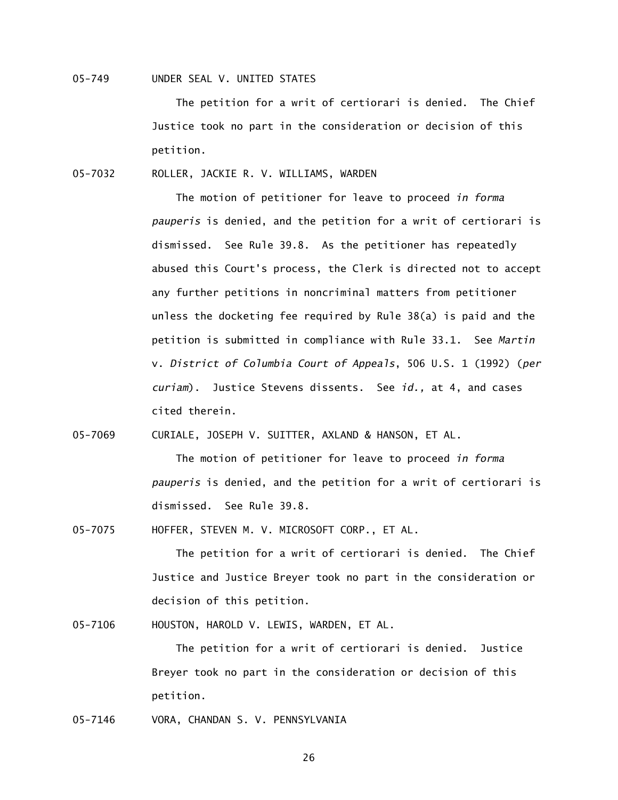05-749 UNDER SEAL V. UNITED STATES

 The petition for a writ of certiorari is denied. The Chief Justice took no part in the consideration or decision of this petition.

05-7032 ROLLER, JACKIE R. V. WILLIAMS, WARDEN

 The motion of petitioner for leave to proceed *in forma pauperis* is denied, and the petition for a writ of certiorari is dismissed. See Rule 39.8. As the petitioner has repeatedly abused this Court's process, the Clerk is directed not to accept any further petitions in noncriminal matters from petitioner unless the docketing fee required by Rule 38(a) is paid and the petition is submitted in compliance with Rule 33.1. See *Martin*  v. *District of Columbia Court of Appeals*, 506 U.S. 1 (1992) (*per curiam*). Justice Stevens dissents. See *id.,* at 4, and cases cited therein.

05-7069 CURIALE, JOSEPH V. SUITTER, AXLAND & HANSON, ET AL.

 The motion of petitioner for leave to proceed *in forma pauperis* is denied, and the petition for a writ of certiorari is dismissed. See Rule 39.8.

05-7075 HOFFER, STEVEN M. V. MICROSOFT CORP., ET AL.

 The petition for a writ of certiorari is denied. The Chief Justice and Justice Breyer took no part in the consideration or decision of this petition.

05-7106 HOUSTON, HAROLD V. LEWIS, WARDEN, ET AL.

 The petition for a writ of certiorari is denied. Justice Breyer took no part in the consideration or decision of this petition.

05-7146 VORA, CHANDAN S. V. PENNSYLVANIA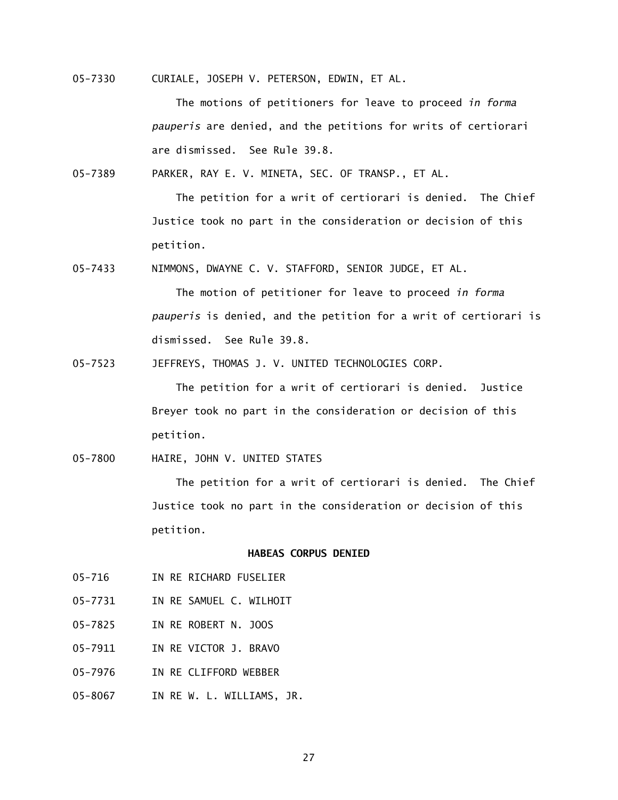05-7330 CURIALE, JOSEPH V. PETERSON, EDWIN, ET AL.

 The motions of petitioners for leave to proceed *in forma pauperis* are denied, and the petitions for writs of certiorari are dismissed. See Rule 39.8.

05-7389 PARKER, RAY E. V. MINETA, SEC. OF TRANSP., ET AL.

 The petition for a writ of certiorari is denied. The Chief Justice took no part in the consideration or decision of this petition.

05-7433 NIMMONS, DWAYNE C. V. STAFFORD, SENIOR JUDGE, ET AL.

 The motion of petitioner for leave to proceed *in forma pauperis* is denied, and the petition for a writ of certiorari is dismissed. See Rule 39.8.

05-7523 JEFFREYS, THOMAS J. V. UNITED TECHNOLOGIES CORP.

 The petition for a writ of certiorari is denied. Justice Breyer took no part in the consideration or decision of this petition.

05-7800 HAIRE, JOHN V. UNITED STATES

 The petition for a writ of certiorari is denied. The Chief Justice took no part in the consideration or decision of this petition.

## **HABEAS CORPUS DENIED**

- 05-716 IN RE RICHARD FUSELIER
- 05-7731 IN RE SAMUEL C. WILHOIT
- 05-7825 IN RE ROBERT N. JOOS
- 05-7911 IN RE VICTOR J. BRAVO
- 05-7976 IN RE CLIFFORD WEBBER
- 05-8067 IN RE W. L. WILLIAMS, JR.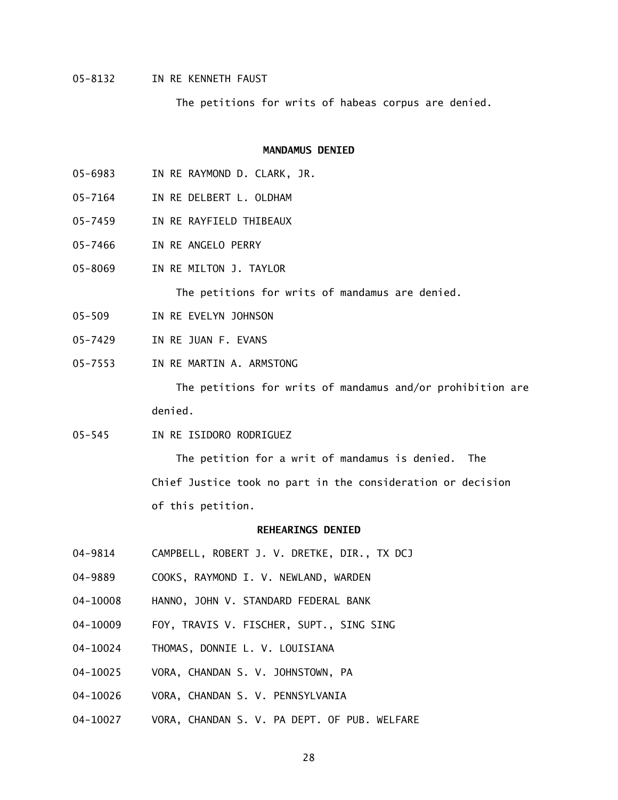05-8132 IN RE KENNETH FAUST

The petitions for writs of habeas corpus are denied.

### **MANDAMUS DENIED**

- 05-6983 IN RE RAYMOND D. CLARK, JR.
- 05-7164 IN RE DELBERT L. OLDHAM
- 05-7459 IN RE RAYFIELD THIBEAUX
- 05-7466 IN RE ANGELO PERRY
- 05-8069 IN RE MILTON J. TAYLOR

The petitions for writs of mandamus are denied.

- 05-509 IN RE EVELYN JOHNSON
- 05-7429 IN RE JUAN F. EVANS
- 05-7553 IN RE MARTIN A. ARMSTONG

 The petitions for writs of mandamus and/or prohibition are denied.

05-545 IN RE ISIDORO RODRIGUEZ

 The petition for a writ of mandamus is denied. The Chief Justice took no part in the consideration or decision of this petition.

# **REHEARINGS DENIED**

- 04-9814 CAMPBELL, ROBERT J. V. DRETKE, DIR., TX DCJ
- 04-9889 COOKS, RAYMOND I. V. NEWLAND, WARDEN
- 04-10008 HANNO, JOHN V. STANDARD FEDERAL BANK
- 04-10009 FOY, TRAVIS V. FISCHER, SUPT., SING SING
- 04-10024 THOMAS, DONNIE L. V. LOUISIANA
- 04-10025 VORA, CHANDAN S. V. JOHNSTOWN, PA
- 04-10026 VORA, CHANDAN S. V. PENNSYLVANIA
- 04-10027 VORA, CHANDAN S. V. PA DEPT. OF PUB. WELFARE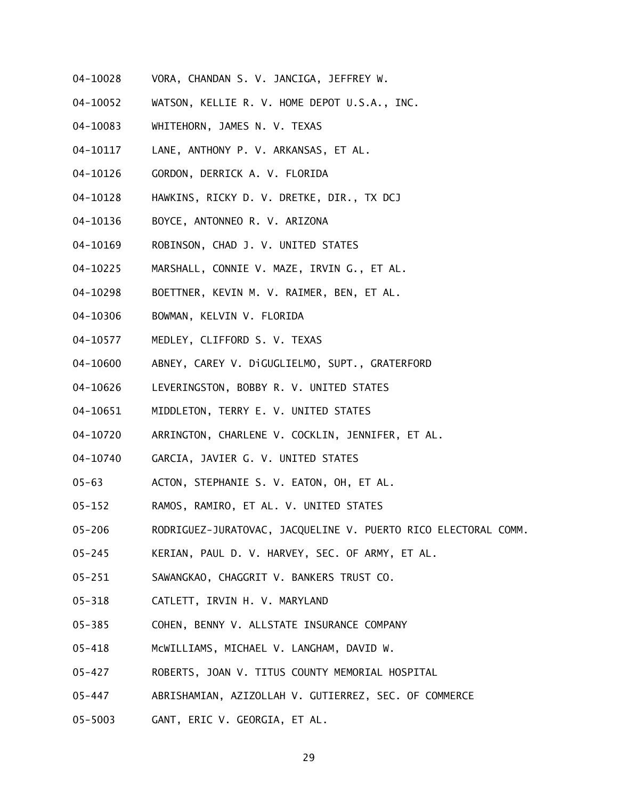- 04-10028 VORA, CHANDAN S. V. JANCIGA, JEFFREY W.
- 04-10052 WATSON, KELLIE R. V. HOME DEPOT U.S.A., INC.
- 04-10083 WHITEHORN, JAMES N. V. TEXAS
- 04-10117 LANE, ANTHONY P. V. ARKANSAS, ET AL.
- 04-10126 GORDON, DERRICK A. V. FLORIDA
- 04-10128 HAWKINS, RICKY D. V. DRETKE, DIR., TX DCJ
- 04-10136 BOYCE, ANTONNEO R. V. ARIZONA
- 04-10169 ROBINSON, CHAD J. V. UNITED STATES
- 04-10225 MARSHALL, CONNIE V. MAZE, IRVIN G., ET AL.
- 04-10298 BOETTNER, KEVIN M. V. RAIMER, BEN, ET AL.
- 04-10306 BOWMAN, KELVIN V. FLORIDA
- 04-10577 MEDLEY, CLIFFORD S. V. TEXAS
- 04-10600 ABNEY, CAREY V. DiGUGLIELMO, SUPT., GRATERFORD
- 04-10626 LEVERINGSTON, BOBBY R. V. UNITED STATES
- 04-10651 MIDDLETON, TERRY E. V. UNITED STATES
- 04-10720 ARRINGTON, CHARLENE V. COCKLIN, JENNIFER, ET AL.
- 04-10740 GARCIA, JAVIER G. V. UNITED STATES
- 05-63 ACTON, STEPHANIE S. V. EATON, OH, ET AL.
- 05-152 RAMOS, RAMIRO, ET AL. V. UNITED STATES
- 05-206 RODRIGUEZ-JURATOVAC, JACQUELINE V. PUERTO RICO ELECTORAL COMM.
- 05-245 KERIAN, PAUL D. V. HARVEY, SEC. OF ARMY, ET AL.
- 05-251 SAWANGKAO, CHAGGRIT V. BANKERS TRUST CO.
- 05-318 CATLETT, IRVIN H. V. MARYLAND
- 05-385 COHEN, BENNY V. ALLSTATE INSURANCE COMPANY
- 05-418 McWILLIAMS, MICHAEL V. LANGHAM, DAVID W.
- 05-427 ROBERTS, JOAN V. TITUS COUNTY MEMORIAL HOSPITAL
- 05-447 ABRISHAMIAN, AZIZOLLAH V. GUTIERREZ, SEC. OF COMMERCE
- 05-5003 GANT, ERIC V. GEORGIA, ET AL.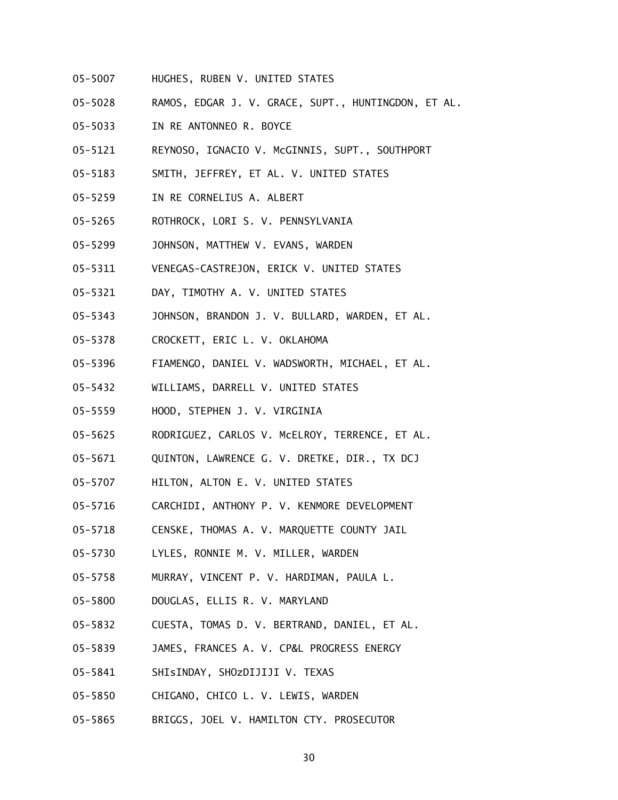- 05-5007 HUGHES, RUBEN V. UNITED STATES
- 05-5028 RAMOS, EDGAR J. V. GRACE, SUPT., HUNTINGDON, ET AL.
- 05-5033 IN RE ANTONNEO R. BOYCE
- 05-5121 REYNOSO, IGNACIO V. McGINNIS, SUPT., SOUTHPORT
- 05-5183 SMITH, JEFFREY, ET AL. V. UNITED STATES
- 05-5259 IN RE CORNELIUS A. ALBERT
- 05-5265 ROTHROCK, LORI S. V. PENNSYLVANIA
- 05-5299 JOHNSON, MATTHEW V. EVANS, WARDEN
- 05-5311 VENEGAS-CASTREJON, ERICK V. UNITED STATES
- 05-5321 DAY, TIMOTHY A. V. UNITED STATES
- 05-5343 JOHNSON, BRANDON J. V. BULLARD, WARDEN, ET AL.
- 05-5378 CROCKETT, ERIC L. V. OKLAHOMA
- 05-5396 FIAMENGO, DANIEL V. WADSWORTH, MICHAEL, ET AL.
- 05-5432 WILLIAMS, DARRELL V. UNITED STATES
- 05-5559 HOOD, STEPHEN J. V. VIRGINIA
- 05-5625 RODRIGUEZ, CARLOS V. McELROY, TERRENCE, ET AL.
- 05-5671 QUINTON, LAWRENCE G. V. DRETKE, DIR., TX DCJ
- 05-5707 HILTON, ALTON E. V. UNITED STATES
- 05-5716 CARCHIDI, ANTHONY P. V. KENMORE DEVELOPMENT
- 05-5718 CENSKE, THOMAS A. V. MARQUETTE COUNTY JAIL
- 05-5730 LYLES, RONNIE M. V. MILLER, WARDEN
- 05-5758 MURRAY, VINCENT P. V. HARDIMAN, PAULA L.
- 05-5800 DOUGLAS, ELLIS R. V. MARYLAND
- 05-5832 CUESTA, TOMAS D. V. BERTRAND, DANIEL, ET AL.
- 05-5839 JAMES, FRANCES A. V. CP&L PROGRESS ENERGY
- 05-5841 SHIsINDAY, SHOzDIJIJI V. TEXAS
- 05-5850 CHIGANO, CHICO L. V. LEWIS, WARDEN
- 05-5865 BRIGGS, JOEL V. HAMILTON CTY. PROSECUTOR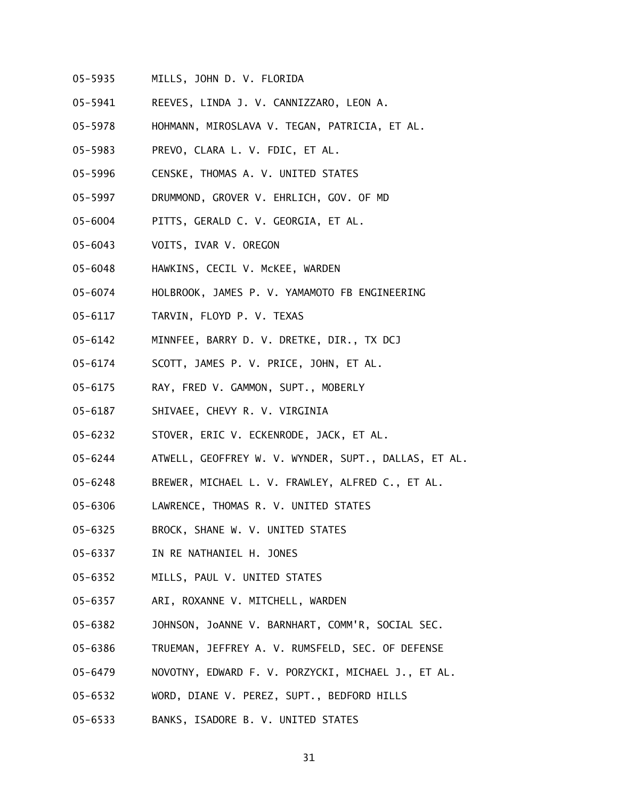- 05-5935 MILLS, JOHN D. V. FLORIDA
- 05-5941 REEVES, LINDA J. V. CANNIZZARO, LEON A.
- 05-5978 HOHMANN, MIROSLAVA V. TEGAN, PATRICIA, ET AL.
- 05-5983 PREVO, CLARA L. V. FDIC, ET AL.
- 05-5996 CENSKE, THOMAS A. V. UNITED STATES
- 05-5997 DRUMMOND, GROVER V. EHRLICH, GOV. OF MD
- 05-6004 PITTS, GERALD C. V. GEORGIA, ET AL.
- 05-6043 VOITS, IVAR V. OREGON
- 05-6048 HAWKINS, CECIL V. McKEE, WARDEN
- 05-6074 HOLBROOK, JAMES P. V. YAMAMOTO FB ENGINEERING
- 05-6117 TARVIN, FLOYD P. V. TEXAS
- 05-6142 MINNFEE, BARRY D. V. DRETKE, DIR., TX DCJ
- 05-6174 SCOTT, JAMES P. V. PRICE, JOHN, ET AL.
- 05-6175 RAY, FRED V. GAMMON, SUPT., MOBERLY
- 05-6187 SHIVAEE, CHEVY R. V. VIRGINIA
- 05-6232 STOVER, ERIC V. ECKENRODE, JACK, ET AL.
- 05-6244 ATWELL, GEOFFREY W. V. WYNDER, SUPT., DALLAS, ET AL.
- 05-6248 BREWER, MICHAEL L. V. FRAWLEY, ALFRED C., ET AL.
- 05-6306 LAWRENCE, THOMAS R. V. UNITED STATES
- 05-6325 BROCK, SHANE W. V. UNITED STATES
- 05-6337 IN RE NATHANIEL H. JONES
- 05-6352 MILLS, PAUL V. UNITED STATES
- 05-6357 ARI, ROXANNE V. MITCHELL, WARDEN
- 05-6382 JOHNSON, JoANNE V. BARNHART, COMM'R, SOCIAL SEC.
- 05-6386 TRUEMAN, JEFFREY A. V. RUMSFELD, SEC. OF DEFENSE
- 05-6479 NOVOTNY, EDWARD F. V. PORZYCKI, MICHAEL J., ET AL.
- 05-6532 WORD, DIANE V. PEREZ, SUPT., BEDFORD HILLS
- 05-6533 BANKS, ISADORE B. V. UNITED STATES